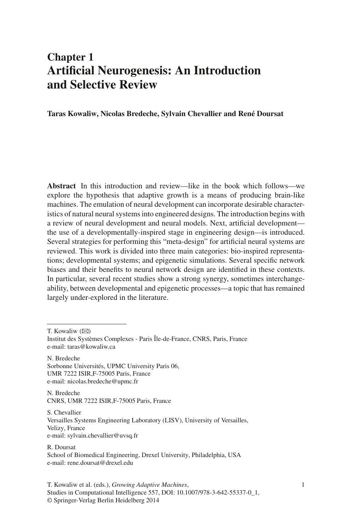# **Chapter 1 Artificial Neurogenesis: An Introduction and Selective Review**

**Taras Kowaliw, Nicolas Bredeche, Sylvain Chevallier and René Doursat**

**Abstract** In this introduction and review—like in the book which follows—we explore the hypothesis that adaptive growth is a means of producing brain-like machines. The emulation of neural development can incorporate desirable characteristics of natural neural systems into engineered designs. The introduction begins with a review of neural development and neural models. Next, artificial development the use of a developmentally-inspired stage in engineering design—is introduced. Several strategies for performing this "meta-design" for artificial neural systems are reviewed. This work is divided into three main categories: bio-inspired representations; developmental systems; and epigenetic simulations. Several specific network biases and their benefits to neural network design are identified in these contexts. In particular, several recent studies show a strong synergy, sometimes interchangeability, between developmental and epigenetic processes—a topic that has remained largely under-explored in the literature.

T. Kowaliw  $(\boxtimes)$ 

N. Bredeche Sorbonne Universités, UPMC University Paris 06, UMR 7222 ISIR,F-75005 Paris, France e-mail: nicolas.bredeche@upmc.fr

N. Bredeche CNRS, UMR 7222 ISIR,F-75005 Paris, France

S. Chevallier Versailles Systems Engineering Laboratory (LISV), University of Versailles, Velizy, France e-mail: sylvain.chevallier@uvsq.fr

R. Doursat School of Biomedical Engineering, Drexel University, Philadelphia, USA e-mail: rene.doursat@drexel.edu

T. Kowaliw et al. (eds.), *Growing Adaptive Machines*, 1 Studies in Computational Intelligence 557, DOI: 10.1007/978-3-642-55337-0\_1, © Springer-Verlag Berlin Heidelberg 2014

Institut des Systèmes Complexes - Paris Île-de-France, CNRS, Paris, France e-mail: taras@kowaliw.ca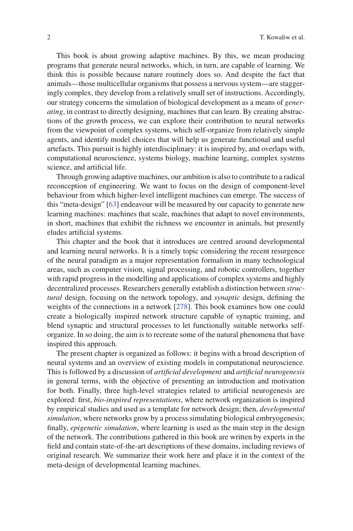This book is about growing adaptive machines. By this, we mean producing programs that generate neural networks, which, in turn, are capable of learning. We think this is possible because nature routinely does so. And despite the fact that animals—those multicellular organisms that possess a nervous system—are staggeringly complex, they develop from a relatively small set of instructions. Accordingly, our strategy concerns the simulation of biological development as a means of *generating*, in contrast to directly designing, machines that can learn. By creating abstractions of the growth process, we can explore their contribution to neural networks from the viewpoint of complex systems, which self-organize from relatively simple agents, and identify model choices that will help us generate functional and useful artefacts. This pursuit is highly interdisciplinary: it is inspired by, and overlaps with, computational neuroscience, systems biology, machine learning, complex systems science, and artificial life.

Through growing adaptive machines, our ambition is also to contribute to a radical reconception of engineering. We want to focus on the design of component-level behaviour from which higher-level intelligent machines can emerge. The success of this "meta-design" [63] endeavour will be measured by our capacity to generate new learning machines: machines that scale, machines that adapt to novel environments, in short, machines that exhibit the richness we encounter in animals, but presently eludes artificial systems.

This chapter and the book that it introduces are centred around developmental and learning neural networks. It is a timely topic considering the recent resurgence of the neural paradigm as a major representation formalism in many technological areas, such as computer vision, signal processing, and robotic controllers, together with rapid progress in the modelling and applications of complex systems and highly decentralized processes. Researchers generally establish a distinction between *structural* design, focusing on the network topology, and *synaptic* design, defining the weights of the connections in a network [278]. This book examines how one could create a biologically inspired network structure capable of synaptic training, and blend synaptic and structural processes to let functionally suitable networks selforganize. In so doing, the aim is to recreate some of the natural phenomena that have inspired this approach.

The present chapter is organized as follows: it begins with a broad description of neural systems and an overview of existing models in computational neuroscience. This is followed by a discussion of *artificial development* and *artificial neurogenesis* in general terms, with the objective of presenting an introduction and motivation for both. Finally, three high-level strategies related to artificial neurogenesis are explored: first, *bio-inspired representations*, where network organization is inspired by empirical studies and used as a template for network design; then, *developmental simulation*, where networks grow by a process simulating biological embryogenesis; finally, *epigenetic simulation*, where learning is used as the main step in the design of the network. The contributions gathered in this book are written by experts in the field and contain state-of-the-art descriptions of these domains, including reviews of original research. We summarize their work here and place it in the context of the meta-design of developmental learning machines.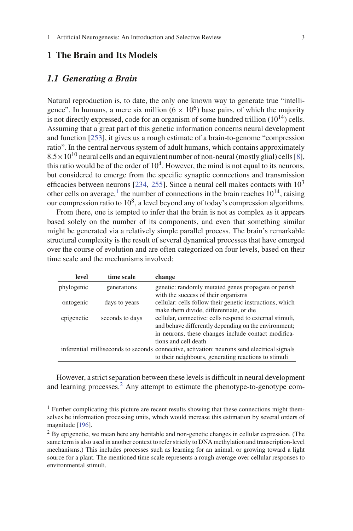# **1 The Brain and Its Models**

# *1.1 Generating a Brain*

Natural reproduction is, to date, the only one known way to generate true "intelligence". In humans, a mere six million  $(6 \times 10^6)$  base pairs, of which the majority is not directly expressed, code for an organism of some hundred trillion  $(10^{14})$  cells. Assuming that a great part of this genetic information concerns neural development and function [253], it gives us a rough estimate of a brain-to-genome "compression ratio". In the central nervous system of adult humans, which contains approximately  $8.5 \times 10^{10}$  neural cells and an equivalent number of non-neural (mostly glial) cells [8], this ratio would be of the order of  $10<sup>4</sup>$ . However, the mind is not equal to its neurons, but considered to emerge from the specific synaptic connections and transmission efficacies between neurons [234, 255]. Since a neural cell makes contacts with 10<sup>3</sup> other cells on average,<sup>1</sup> the number of connections in the brain reaches  $10^{14}$ , raising our compression ratio to  $10^8$ , a level beyond any of today's compression algorithms.

From there, one is tempted to infer that the brain is not as complex as it appears based solely on the number of its components, and even that something similar might be generated via a relatively simple parallel process. The brain's remarkable structural complexity is the result of several dynamical processes that have emerged over the course of evolution and are often categorized on four levels, based on their time scale and the mechanisms involved:

| level      | time scale      | change                                                                                                                                                                                          |
|------------|-----------------|-------------------------------------------------------------------------------------------------------------------------------------------------------------------------------------------------|
| phylogenic | generations     | genetic: randomly mutated genes propagate or perish<br>with the success of their organisms                                                                                                      |
| ontogenic  | days to years   | cellular: cells follow their genetic instructions, which<br>make them divide, differentiate, or die                                                                                             |
| epigenetic | seconds to days | cellular, connective: cells respond to external stimuli,<br>and behave differently depending on the environment;<br>in neurons, these changes include contact modifica-<br>tions and cell death |
|            |                 | inferential milliseconds to seconds connective, activation: neurons send electrical signals<br>to their neighbours, generating reactions to stimuli                                             |

However, a strict separation between these levels is difficult in neural development and learning processes.<sup>2</sup> Any attempt to estimate the phenotype-to-genotype com-

<sup>&</sup>lt;sup>1</sup> Further complicating this picture are recent results showing that these connections might themselves be information processing units, which would increase this estimation by several orders of magnitude [196].

<sup>&</sup>lt;sup>2</sup> By epigenetic, we mean here any heritable and non-genetic changes in cellular expression. (The same term is also used in another context to refer strictly to DNA methylation and transcription-level mechanisms.) This includes processes such as learning for an animal, or growing toward a light source for a plant. The mentioned time scale represents a rough average over cellular responses to environmental stimuli.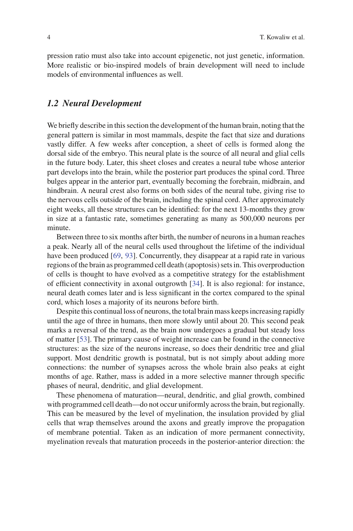pression ratio must also take into account epigenetic, not just genetic, information. More realistic or bio-inspired models of brain development will need to include models of environmental influences as well.

# *1.2 Neural Development*

We briefly describe in this section the development of the human brain, noting that the general pattern is similar in most mammals, despite the fact that size and durations vastly differ. A few weeks after conception, a sheet of cells is formed along the dorsal side of the embryo. This neural plate is the source of all neural and glial cells in the future body. Later, this sheet closes and creates a neural tube whose anterior part develops into the brain, while the posterior part produces the spinal cord. Three bulges appear in the anterior part, eventually becoming the forebrain, midbrain, and hindbrain. A neural crest also forms on both sides of the neural tube, giving rise to the nervous cells outside of the brain, including the spinal cord. After approximately eight weeks, all these structures can be identified: for the next 13-months they grow in size at a fantastic rate, sometimes generating as many as 500,000 neurons per minute.

Between three to six months after birth, the number of neurons in a human reaches a peak. Nearly all of the neural cells used throughout the lifetime of the individual have been produced [69, 93]. Concurrently, they disappear at a rapid rate in various regions of the brain as programmed cell death (apoptosis) sets in. This overproduction of cells is thought to have evolved as a competitive strategy for the establishment of efficient connectivity in axonal outgrowth [34]. It is also regional: for instance, neural death comes later and is less significant in the cortex compared to the spinal cord, which loses a majority of its neurons before birth.

Despite this continual loss of neurons, the total brain mass keeps increasing rapidly until the age of three in humans, then more slowly until about 20. This second peak marks a reversal of the trend, as the brain now undergoes a gradual but steady loss of matter [53]. The primary cause of weight increase can be found in the connective structures: as the size of the neurons increase, so does their dendritic tree and glial support. Most dendritic growth is postnatal, but is not simply about adding more connections: the number of synapses across the whole brain also peaks at eight months of age. Rather, mass is added in a more selective manner through specific phases of neural, dendritic, and glial development.

These phenomena of maturation—neural, dendritic, and glial growth, combined with programmed cell death—do not occur uniformly across the brain, but regionally. This can be measured by the level of myelination, the insulation provided by glial cells that wrap themselves around the axons and greatly improve the propagation of membrane potential. Taken as an indication of more permanent connectivity, myelination reveals that maturation proceeds in the posterior-anterior direction: the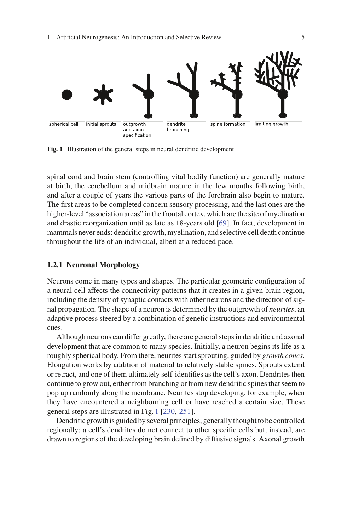

**Fig. 1** Illustration of the general steps in neural dendritic development

spinal cord and brain stem (controlling vital bodily function) are generally mature at birth, the cerebellum and midbrain mature in the few months following birth, and after a couple of years the various parts of the forebrain also begin to mature. The first areas to be completed concern sensory processing, and the last ones are the higher-level "association areas" in the frontal cortex, which are the site of myelination and drastic reorganization until as late as 18-years old [69]. In fact, development in mammals never ends: dendritic growth, myelination, and selective cell death continue throughout the life of an individual, albeit at a reduced pace.

### **1.2.1 Neuronal Morphology**

Neurons come in many types and shapes. The particular geometric configuration of a neural cell affects the connectivity patterns that it creates in a given brain region, including the density of synaptic contacts with other neurons and the direction of signal propagation. The shape of a neuron is determined by the outgrowth of *neurites*, an adaptive process steered by a combination of genetic instructions and environmental cues.

Although neurons can differ greatly, there are general steps in dendritic and axonal development that are common to many species. Initially, a neuron begins its life as a roughly spherical body. From there, neurites start sprouting, guided by *growth cones*. Elongation works by addition of material to relatively stable spines. Sprouts extend or retract, and one of them ultimately self-identifies as the cell's axon. Dendrites then continue to grow out, either from branching or from new dendritic spines that seem to pop up randomly along the membrane. Neurites stop developing, for example, when they have encountered a neighbouring cell or have reached a certain size. These general steps are illustrated in Fig. 1 [230, 251].

Dendritic growth is guided by several principles, generally thought to be controlled regionally: a cell's dendrites do not connect to other specific cells but, instead, are drawn to regions of the developing brain defined by diffusive signals. Axonal growth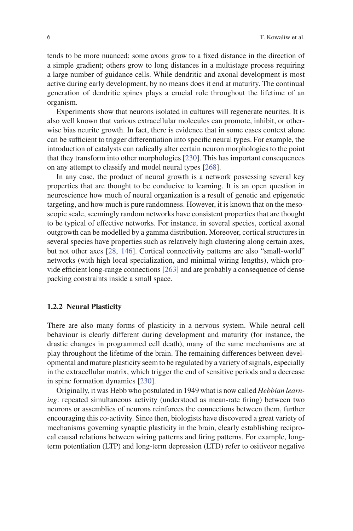tends to be more nuanced: some axons grow to a fixed distance in the direction of a simple gradient; others grow to long distances in a multistage process requiring a large number of guidance cells. While dendritic and axonal development is most active during early development, by no means does it end at maturity. The continual generation of dendritic spines plays a crucial role throughout the lifetime of an organism.

Experiments show that neurons isolated in cultures will regenerate neurites. It is also well known that various extracellular molecules can promote, inhibit, or otherwise bias neurite growth. In fact, there is evidence that in some cases context alone can be sufficient to trigger differentiation into specific neural types. For example, the introduction of catalysts can radically alter certain neuron morphologies to the point that they transform into other morphologies [230]. This has important consequences on any attempt to classify and model neural types [268].

In any case, the product of neural growth is a network possessing several key properties that are thought to be conducive to learning. It is an open question in neuroscience how much of neural organization is a result of genetic and epigenetic targeting, and how much is pure randomness. However, it is known that on the mesoscopic scale, seemingly random networks have consistent properties that are thought to be typical of effective networks. For instance, in several species, cortical axonal outgrowth can be modelled by a gamma distribution. Moreover, cortical structures in several species have properties such as relatively high clustering along certain axes, but not other axes [28, 146]. Cortical connectivity patterns are also "small-world" networks (with high local specialization, and minimal wiring lengths), which provide efficient long-range connections [263] and are probably a consequence of dense packing constraints inside a small space.

### **1.2.2 Neural Plasticity**

There are also many forms of plasticity in a nervous system. While neural cell behaviour is clearly different during development and maturity (for instance, the drastic changes in programmed cell death), many of the same mechanisms are at play throughout the lifetime of the brain. The remaining differences between developmental and mature plasticity seem to be regulated by a variety of signals, especially in the extracellular matrix, which trigger the end of sensitive periods and a decrease in spine formation dynamics [230].

Originally, it was Hebb who postulated in 1949 what is now called *Hebbian learning*: repeated simultaneous activity (understood as mean-rate firing) between two neurons or assemblies of neurons reinforces the connections between them, further encouraging this co-activity. Since then, biologists have discovered a great variety of mechanisms governing synaptic plasticity in the brain, clearly establishing reciprocal causal relations between wiring patterns and firing patterns. For example, longterm potentiation (LTP) and long-term depression (LTD) refer to ositiveor negative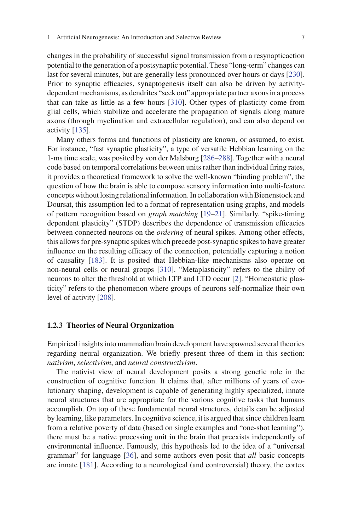changes in the probability of successful signal transmission from a resynapticaction potential to the generation of a postsynaptic potential. These "long-term" changes can last for several minutes, but are generally less pronounced over hours or days [230]. Prior to synaptic efficacies, synaptogenesis itself can also be driven by activitydependent mechanisms, as dendrites "seek out" appropriate partner axons in a process that can take as little as a few hours [310]. Other types of plasticity come from glial cells, which stabilize and accelerate the propagation of signals along mature axons (through myelination and extracellular regulation), and can also depend on activity [135].

Many others forms and functions of plasticity are known, or assumed, to exist. For instance, "fast synaptic plasticity", a type of versatile Hebbian learning on the 1-ms time scale, was posited by von der Malsburg [286–288]. Together with a neural code based on temporal correlations between units rather than individual firing rates, it provides a theoretical framework to solve the well-known "binding problem", the question of how the brain is able to compose sensory information into multi-feature concepts without losing relational information. In collaboration with Bienenstock and Doursat, this assumption led to a format of representation using graphs, and models of pattern recognition based on *graph matching* [19–21]. Similarly, "spike-timing dependent plasticity" (STDP) describes the dependence of transmission efficacies between connected neurons on the *ordering* of neural spikes. Among other effects, this allows for pre-synaptic spikes which precede post-synaptic spikes to have greater influence on the resulting efficacy of the connection, potentially capturing a notion of causality [183]. It is posited that Hebbian-like mechanisms also operate on non-neural cells or neural groups [310]. "Metaplasticity" refers to the ability of neurons to alter the threshold at which LTP and LTD occur [2]. "Homeostatic plasticity" refers to the phenomenon where groups of neurons self-normalize their own level of activity [208].

### **1.2.3 Theories of Neural Organization**

Empirical insights into mammalian brain development have spawned several theories regarding neural organization. We briefly present three of them in this section: *nativism*, *selectivism*, and *neural constructivism*.

The nativist view of neural development posits a strong genetic role in the construction of cognitive function. It claims that, after millions of years of evolutionary shaping, development is capable of generating highly specialized, innate neural structures that are appropriate for the various cognitive tasks that humans accomplish. On top of these fundamental neural structures, details can be adjusted by learning, like parameters. In cognitive science, it is argued that since children learn from a relative poverty of data (based on single examples and "one-shot learning"), there must be a native processing unit in the brain that preexists independently of environmental influence. Famously, this hypothesis led to the idea of a "universal grammar" for language [36], and some authors even posit that *all* basic concepts are innate [181]. According to a neurological (and controversial) theory, the cortex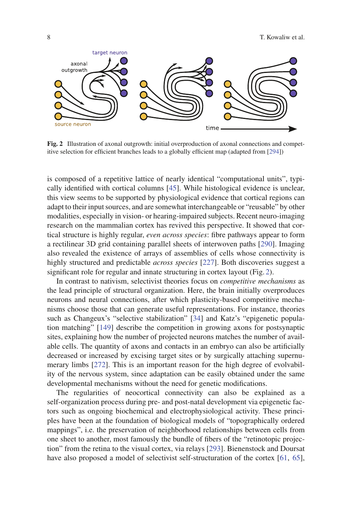

**Fig. 2** Illustration of axonal outgrowth: initial overproduction of axonal connections and competitive selection for efficient branches leads to a globally efficient map (adapted from [294])

is composed of a repetitive lattice of nearly identical "computational units", typically identified with cortical columns [45]. While histological evidence is unclear, this view seems to be supported by physiological evidence that cortical regions can adapt to their input sources, and are somewhat interchangeable or "reusable" by other modalities, especially in vision- or hearing-impaired subjects. Recent neuro-imaging research on the mammalian cortex has revived this perspective. It showed that cortical structure is highly regular, *even across species*: fibre pathways appear to form a rectilinear 3D grid containing parallel sheets of interwoven paths [290]. Imaging also revealed the existence of arrays of assemblies of cells whose connectivity is highly structured and predictable *across species* [227]. Both discoveries suggest a significant role for regular and innate structuring in cortex layout (Fig. 2).

In contrast to nativism, selectivist theories focus on *competitive mechanisms* as the lead principle of structural organization. Here, the brain initially overproduces neurons and neural connections, after which plasticity-based competitive mechanisms choose those that can generate useful representations. For instance, theories such as Changeux's "selective stabilization" [34] and Katz's "epigenetic population matching" [149] describe the competition in growing axons for postsynaptic sites, explaining how the number of projected neurons matches the number of available cells. The quantity of axons and contacts in an embryo can also be artificially decreased or increased by excising target sites or by surgically attaching supernumerary limbs [272]. This is an important reason for the high degree of evolvability of the nervous system, since adaptation can be easily obtained under the same developmental mechanisms without the need for genetic modifications.

The regularities of neocortical connectivity can also be explained as a self-organization process during pre- and post-natal development via epigenetic factors such as ongoing biochemical and electrophysiological activity. These principles have been at the foundation of biological models of "topographically ordered mappings", i.e. the preservation of neighborhood relationships between cells from one sheet to another, most famously the bundle of fibers of the "retinotopic projection" from the retina to the visual cortex, via relays [293]. Bienenstock and Doursat have also proposed a model of selectivist self-structuration of the cortex [61, 65],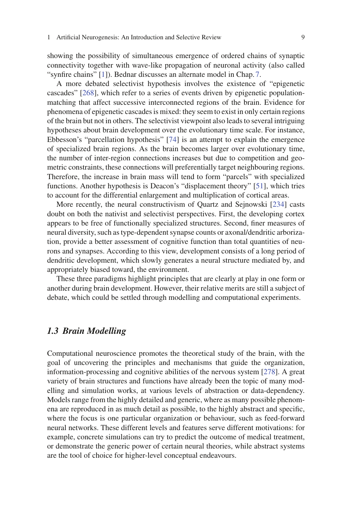showing the possibility of simultaneous emergence of ordered chains of synaptic connectivity together with wave-like propagation of neuronal activity (also called "synfire chains" [1]). Bednar discusses an alternate model in Chap. 7.

A more debated selectivist hypothesis involves the existence of "epigenetic cascades" [268], which refer to a series of events driven by epigenetic populationmatching that affect successive interconnected regions of the brain. Evidence for phenomena of epigenetic cascades is mixed: they seem to exist in only certain regions of the brain but not in others. The selectivist viewpoint also leads to several intriguing hypotheses about brain development over the evolutionary time scale. For instance, Ebbesson's "parcellation hypothesis" [74] is an attempt to explain the emergence of specialized brain regions. As the brain becomes larger over evolutionary time, the number of inter-region connections increases but due to competition and geometric constraints, these connections will preferentially target neighbouring regions. Therefore, the increase in brain mass will tend to form "parcels" with specialized functions. Another hypothesis is Deacon's "displacement theory" [51], which tries to account for the differential enlargement and multiplication of cortical areas.

More recently, the neural constructivism of Quartz and Sejnowski [234] casts doubt on both the nativist and selectivist perspectives. First, the developing cortex appears to be free of functionally specialized structures. Second, finer measures of neural diversity, such as type-dependent synapse counts or axonal/dendritic arborization, provide a better assessment of cognitive function than total quantities of neurons and synapses. According to this view, development consists of a long period of dendritic development, which slowly generates a neural structure mediated by, and appropriately biased toward, the environment.

These three paradigms highlight principles that are clearly at play in one form or another during brain development. However, their relative merits are still a subject of debate, which could be settled through modelling and computational experiments.

# *1.3 Brain Modelling*

Computational neuroscience promotes the theoretical study of the brain, with the goal of uncovering the principles and mechanisms that guide the organization, information-processing and cognitive abilities of the nervous system [278]. A great variety of brain structures and functions have already been the topic of many modelling and simulation works, at various levels of abstraction or data-dependency. Models range from the highly detailed and generic, where as many possible phenomena are reproduced in as much detail as possible, to the highly abstract and specific, where the focus is one particular organization or behaviour, such as feed-forward neural networks. These different levels and features serve different motivations: for example, concrete simulations can try to predict the outcome of medical treatment, or demonstrate the generic power of certain neural theories, while abstract systems are the tool of choice for higher-level conceptual endeavours.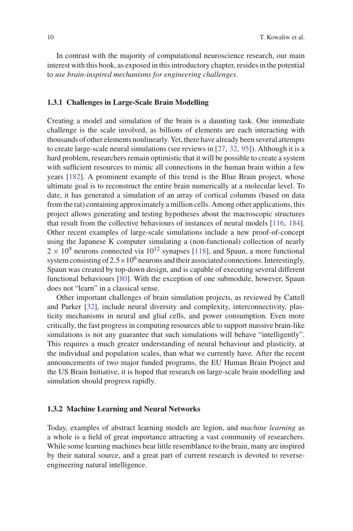In contrast with the majority of computational neuroscience research, our main interest with this book, as exposed in this introductory chapter, resides in the potential to *use brain-inspired mechanisms for engineering challenges*.

## **1.3.1 Challenges in Large-Scale Brain Modelling**

Creating a model and simulation of the brain is a daunting task. One immediate challenge is the scale involved, as billions of elements are each interacting with thousands of other elements nonlinearly. Yet, there have already been several attempts to create large-scale neural simulations (see reviews in [27, 32, 95]). Although it is a hard problem, researchers remain optimistic that it will be possible to create a system with sufficient resources to mimic all connections in the human brain within a few years [182]. A prominent example of this trend is the Blue Brain project, whose ultimate goal is to reconstruct the entire brain numerically at a molecular level. To date, it has generated a simulation of an array of cortical columns (based on data from the rat) containing approximately a million cells. Among other applications, this project allows generating and testing hypotheses about the macroscopic structures that result from the collective behaviours of instances of neural models [116, 184]. Other recent examples of large-scale simulations include a new proof-of-concept using the Japanese K computer simulating a (non-functional) collection of nearly  $2 \times 10^9$  neurons connected via  $10^{12}$  synapses [118], and Spaun, a more functional system consisting of  $2.5 \times 10^6$  neurons and their associated connections. Interestingly, Spaun was created by top-down design, and is capable of executing several different functional behaviours [80]. With the exception of one submodule, however, Spaun does not "learn" in a classical sense.

Other important challenges of brain simulation projects, as reviewed by Cattell and Parker [32], include neural diversity and complexity, interconnectivity, plasticity mechanisms in neural and glial cells, and power consumption. Even more critically, the fast progress in computing resources able to support massive brain-like simulations is not any guarantee that such simulations will behave "intelligently". This requires a much greater understanding of neural behaviour and plasticity, at the individual and population scales, than what we currently have. After the recent announcements of two major funded programs, the EU Human Brain Project and the US Brain Initiative, it is hoped that research on large-scale brain modelling and simulation should progress rapidly.

### **1.3.2 Machine Learning and Neural Networks**

Today, examples of abstract learning models are legion, and *machine learning* as a whole is a field of great importance attracting a vast community of researchers. While some learning machines bear little resemblance to the brain, many are inspired by their natural source, and a great part of current research is devoted to reverseengineering natural intelligence.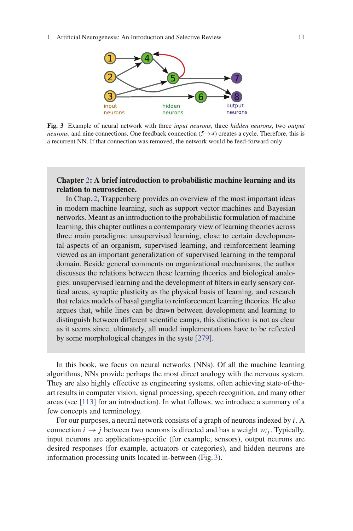#### 1 Artificial Neurogenesis: An Introduction and Selective Review 11



**Fig. 3** Example of neural network with three *input neurons*, three *hidden neurons*, two *output neurons*, and nine connections. One feedback connection (5→*4*) creates a cycle. Therefore, this is a recurrent NN. If that connection was removed, the network would be feed-forward only

# **Chapter** 2**: A brief introduction to probabilistic machine learning and its relation to neuroscience.**

In Chap. 2, Trappenberg provides an overview of the most important ideas in modern machine learning, such as support vector machines and Bayesian networks. Meant as an introduction to the probabilistic formulation of machine learning, this chapter outlines a contemporary view of learning theories across three main paradigms: unsupervised learning, close to certain developmental aspects of an organism, supervised learning, and reinforcement learning viewed as an important generalization of supervised learning in the temporal domain. Beside general comments on organizational mechanisms, the author discusses the relations between these learning theories and biological analogies: unsupervised learning and the development of filters in early sensory cortical areas, synaptic plasticity as the physical basis of learning, and research that relates models of basal ganglia to reinforcement learning theories. He also argues that, while lines can be drawn between development and learning to distinguish between different scientific camps, this distinction is not as clear as it seems since, ultimately, all model implementations have to be reflected by some morphological changes in the syste [279].

In this book, we focus on neural networks (NNs). Of all the machine learning algorithms, NNs provide perhaps the most direct analogy with the nervous system. They are also highly effective as engineering systems, often achieving state-of-theart results in computer vision, signal processing, speech recognition, and many other areas (see [113] for an introduction). In what follows, we introduce a summary of a few concepts and terminology.

For our purposes, a neural network consists of a graph of neurons indexed by *i*. A connection  $i \rightarrow j$  between two neurons is directed and has a weight  $w_{ij}$ . Typically, input neurons are application-specific (for example, sensors), output neurons are desired responses (for example, actuators or categories), and hidden neurons are information processing units located in-between (Fig. 3).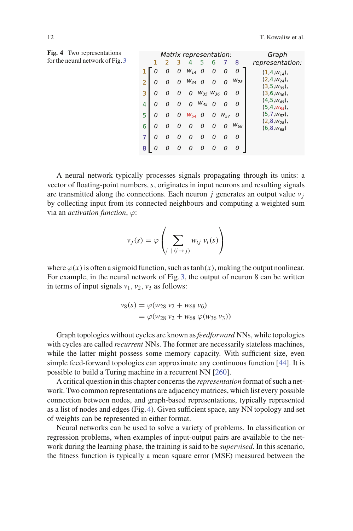| Fig. 4 Two representations       |
|----------------------------------|
| for the neural network of Fig. 3 |

|   |   | Matrix representation: |   | Graph        |                   |   |          |          |                                       |
|---|---|------------------------|---|--------------|-------------------|---|----------|----------|---------------------------------------|
|   |   |                        | 3 | 4            | 5                 | 6 |          | 8        | representation:                       |
|   |   | Ω                      | 0 | $W_{14}$ 0   |                   | 0 | 0        |          | $(1,4,w_{14}),$                       |
|   | 0 |                        |   | $0 W_{24} 0$ |                   | 0 | 0        | $W_{28}$ | $(2,4,w_{24}),$<br>$(3,5,w_{35})$ ,   |
| 3 | 0 |                        | 0 |              | $0 W_{35} W_{36}$ |   |          | 0        | $(3,6,w_{36})$ ,                      |
| 4 | 0 |                        | 0 |              | $0 W_{45} 0$      |   | 0        |          | $(4,5,w_{45})$ ,<br>$(5,4, W_{54})$ , |
| 5 | 0 |                        | 0 | $W_{54}$ O   |                   | 0 | $W_{57}$ |          | $(5,7,w_{57}),$                       |
| 6 | 0 |                        | 0 | 0            | 0                 | 0 | 0        | $W_{68}$ | $(2,8,w_{28})$ ,<br>$(6,8,w_{68})$    |
|   | 0 | Ω                      | 0 | 0            | 0                 | 0 | 0        | 0        |                                       |
|   |   |                        |   | 0            | 0                 | 0 |          |          |                                       |

A neural network typically processes signals propagating through its units: a vector of floating-point numbers, *s*, originates in input neurons and resulting signals are transmitted along the connections. Each neuron  $j$  generates an output value  $v_j$ by collecting input from its connected neighbours and computing a weighted sum via an *activation function*, ϕ:

$$
v_j(s) = \varphi\left(\sum_{i \mid (i \to j)} w_{ij} v_i(s)\right)
$$

where  $\varphi(x)$  is often a sigmoid function, such as tanh(x), making the output nonlinear. For example, in the neural network of Fig. 3, the output of neuron 8 can be written in terms of input signals  $v_1$ ,  $v_2$ ,  $v_3$  as follows:

$$
v_8(s) = \varphi(w_{28} v_2 + w_{68} v_6)
$$
  
=  $\varphi(w_{28} v_2 + w_{68} \varphi(w_{36} v_3))$ 

Graph topologies without cycles are known as*feedforward* NNs, while topologies with cycles are called *recurrent* NNs. The former are necessarily stateless machines, while the latter might possess some memory capacity. With sufficient size, even simple feed-forward topologies can approximate any continuous function [44]. It is possible to build a Turing machine in a recurrent NN [260].

A critical question in this chapter concerns the *representation* format of such a network. Two common representations are adjacency matrices, which list every possible connection between nodes, and graph-based representations, typically represented as a list of nodes and edges (Fig. 4). Given sufficient space, any NN topology and set of weights can be represented in either format.

Neural networks can be used to solve a variety of problems. In classification or regression problems, when examples of input-output pairs are available to the network during the learning phase, the training is said to be *supervised*. In this scenario, the fitness function is typically a mean square error (MSE) measured between the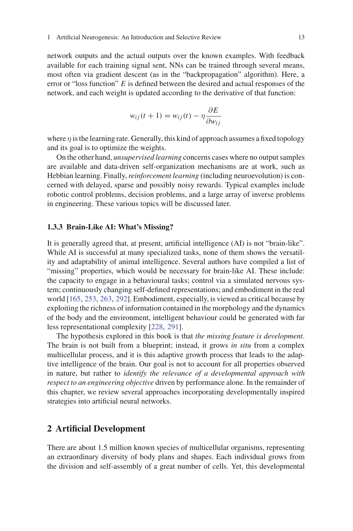network outputs and the actual outputs over the known examples. With feedback available for each training signal sent, NNs can be trained through several means, most often via gradient descent (as in the "backpropagation" algorithm). Here, a error or "loss function" *E* is defined between the desired and actual responses of the network, and each weight is updated according to the derivative of that function:

$$
w_{ij}(t+1) = w_{ij}(t) - \eta \frac{\partial E}{\partial w_{ij}}
$$

where  $\eta$  is the learning rate. Generally, this kind of approach assumes a fixed topology and its goal is to optimize the weights.

On the other hand, *unsupervised learning* concerns cases where no output samples are available and data-driven self-organization mechanisms are at work, such as Hebbian learning. Finally,*reinforcement learning* (including neuroevolution) is concerned with delayed, sparse and possibly noisy rewards. Typical examples include robotic control problems, decision problems, and a large array of inverse problems in engineering. These various topics will be discussed later.

### **1.3.3 Brain-Like AI: What's Missing?**

It is generally agreed that, at present, artificial intelligence (AI) is not "brain-like". While AI is successful at many specialized tasks, none of them shows the versatility and adaptability of animal intelligence. Several authors have compiled a list of "missing" properties, which would be necessary for brain-like AI. These include: the capacity to engage in a behavioural tasks; control via a simulated nervous system; continuously changing self-defined representations; and embodiment in the real world [165, 253, 263, 292]. Embodiment, especially, is viewed as critical because by exploiting the richness of information contained in the morphology and the dynamics of the body and the environment, intelligent behaviour could be generated with far less representational complexity [228, 291].

The hypothesis explored in this book is that *the missing feature is development*. The brain is not built from a blueprint; instead, it grows *in situ* from a complex multicellular process, and it is this adaptive growth process that leads to the adaptive intelligence of the brain. Our goal is not to account for all properties observed in nature, but rather to *identify the relevance of a developmental approach with respect to an engineering objective* driven by performance alone. In the remainder of this chapter, we review several approaches incorporating developmentally inspired strategies into artificial neural networks.

# **2 Artificial Development**

There are about 1.5 million known species of multicellular organisms, representing an extraordinary diversity of body plans and shapes. Each individual grows from the division and self-assembly of a great number of cells. Yet, this developmental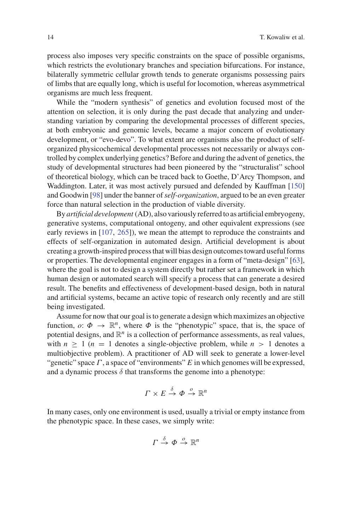process also imposes very specific constraints on the space of possible organisms, which restricts the evolutionary branches and speciation bifurcations. For instance, bilaterally symmetric cellular growth tends to generate organisms possessing pairs of limbs that are equally long, which is useful for locomotion, whereas asymmetrical organisms are much less frequent.

While the "modern synthesis" of genetics and evolution focused most of the attention on selection, it is only during the past decade that analyzing and understanding variation by comparing the developmental processes of different species, at both embryonic and genomic levels, became a major concern of evolutionary development, or "evo-devo". To what extent are organisms also the product of selforganized physicochemical developmental processes not necessarily or always controlled by complex underlying genetics? Before and during the advent of genetics, the study of developmental structures had been pioneered by the "structuralist" school of theoretical biology, which can be traced back to Goethe, D'Arcy Thompson, and Waddington. Later, it was most actively pursued and defended by Kauffman [150] and Goodwin [98] under the banner of*self-organization*, argued to be an even greater force than natural selection in the production of viable diversity.

By *artificial development* (AD), also variously referred to as artificial embryogeny, generative systems, computational ontogeny, and other equivalent expressions (see early reviews in [107, 265]), we mean the attempt to reproduce the constraints and effects of self-organization in automated design. Artificial development is about creating a growth-inspired process that will bias design outcomes toward useful forms or properties. The developmental engineer engages in a form of "meta-design" [63], where the goal is not to design a system directly but rather set a framework in which human design or automated search will specify a process that can generate a desired result. The benefits and effectiveness of development-based design, both in natural and artificial systems, became an active topic of research only recently and are still being investigated.

Assume for now that our goal is to generate a design which maximizes an objective function,  $o: \Phi \to \mathbb{R}^n$ , where  $\Phi$  is the "phenotypic" space, that is, the space of potential designs, and  $\mathbb{R}^n$  is a collection of performance assessments, as real values, with  $n > 1$  ( $n = 1$  denotes a single-objective problem, while  $n > 1$  denotes a multiobjective problem). A practitioner of AD will seek to generate a lower-level "genetic" space Γ , a space of "environments" *E* in which genomes will be expressed, and a dynamic process  $\delta$  that transforms the genome into a phenotype:

$$
\Gamma \times E \xrightarrow{\delta} \Phi \xrightarrow{o} \mathbb{R}^n
$$

In many cases, only one environment is used, usually a trivial or empty instance from the phenotypic space. In these cases, we simply write:

$$
\varGamma \stackrel{\delta}{\to} \varPhi \stackrel{o}{\to} \mathbb{R}^n
$$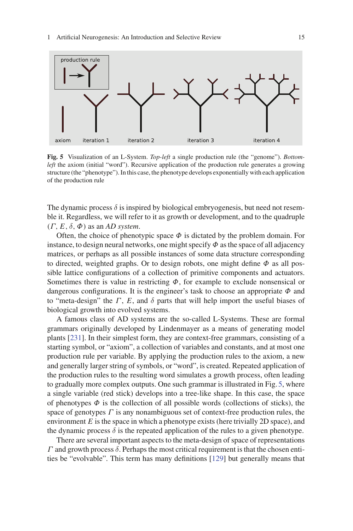

**Fig. 5** Visualization of an L-System. *Top-left* a single production rule (the "genome"). *Bottomleft* the axiom (initial "word"). Recursive application of the production rule generates a growing structure (the "phenotype"). In this case, the phenotype develops exponentially with each application of the production rule

The dynamic process  $\delta$  is inspired by biological embryogenesis, but need not resemble it. Regardless, we will refer to it as growth or development, and to the quadruple  $(\Gamma, E, \delta, \Phi)$  as an *AD system*.

Often, the choice of phenotypic space  $\Phi$  is dictated by the problem domain. For instance, to design neural networks, one might specify  $\Phi$  as the space of all adjacency matrices, or perhaps as all possible instances of some data structure corresponding to directed, weighted graphs. Or to design robots, one might define  $\Phi$  as all possible lattice configurations of a collection of primitive components and actuators. Sometimes there is value in restricting  $\Phi$ , for example to exclude nonsensical or dangerous configurations. It is the engineer's task to choose an appropriate  $\Phi$  and to "meta-design" the  $\Gamma$ ,  $E$ , and  $\delta$  parts that will help import the useful biases of biological growth into evolved systems.

A famous class of AD systems are the so-called L-Systems. These are formal grammars originally developed by Lindenmayer as a means of generating model plants [231]. In their simplest form, they are context-free grammars, consisting of a starting symbol, or "axiom", a collection of variables and constants, and at most one production rule per variable. By applying the production rules to the axiom, a new and generally larger string of symbols, or "word", is created. Repeated application of the production rules to the resulting word simulates a growth process, often leading to gradually more complex outputs. One such grammar is illustrated in Fig. 5, where a single variable (red stick) develops into a tree-like shape. In this case, the space of phenotypes  $\Phi$  is the collection of all possible words (collections of sticks), the space of genotypes  $\Gamma$  is any nonambiguous set of context-free production rules, the environment  $E$  is the space in which a phenotype exists (here trivially 2D space), and the dynamic process  $\delta$  is the repeated application of the rules to a given phenotype.

There are several important aspects to the meta-design of space of representations  $Γ$  and growth process δ. Perhaps the most critical requirement is that the chosen entities be "evolvable". This term has many definitions [129] but generally means that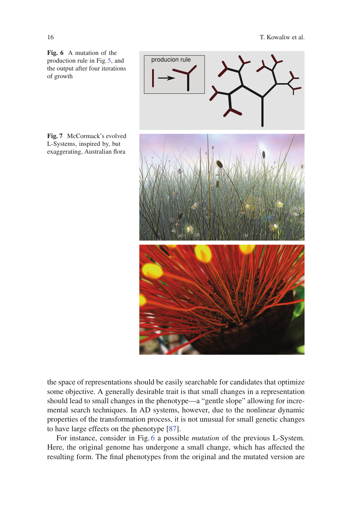

**Fig. 7** McCormack's evolved L-Systems, inspired by, but exaggerating, Australian flora



the space of representations should be easily searchable for candidates that optimize some objective. A generally desirable trait is that small changes in a representation should lead to small changes in the phenotype—a "gentle slope" allowing for incremental search techniques. In AD systems, however, due to the nonlinear dynamic properties of the transformation process, it is not unusual for small genetic changes to have large effects on the phenotype [87].

For instance, consider in Fig. 6 a possible *mutation* of the previous L-System. Here, the original genome has undergone a small change, which has affected the resulting form. The final phenotypes from the original and the mutated version are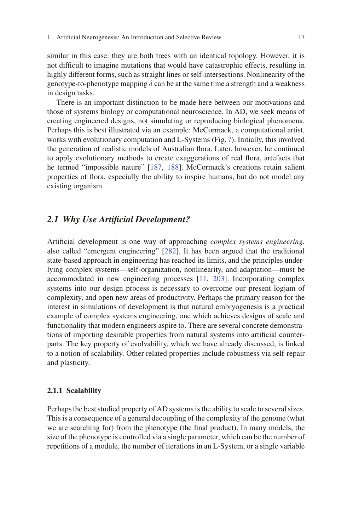similar in this case: they are both trees with an identical topology. However, it is not difficult to imagine mutations that would have catastrophic effects, resulting in highly different forms, such as straight lines or self-intersections. Nonlinearity of the genotype-to-phenotype mapping  $\delta$  can be at the same time a strength and a weakness in design tasks.

There is an important distinction to be made here between our motivations and those of systems biology or computational neuroscience. In AD, we seek means of creating engineered designs, not simulating or reproducing biological phenomena. Perhaps this is best illustrated via an example: McCormack, a computational artist, works with evolutionary computation and L-Systems (Fig. 7). Initially, this involved the generation of realistic models of Australian flora. Later, however, he continued to apply evolutionary methods to create exaggerations of real flora, artefacts that he termed "impossible nature" [187, 188]. McCormack's creations retain salient properties of flora, especially the ability to inspire humans, but do not model any existing organism.

# *2.1 Why Use Artificial Development?*

Artificial development is one way of approaching *complex systems engineering*, also called "emergent engineering" [282]. It has been argued that the traditional state-based approach in engineering has reached its limits, and the principles underlying complex systems—self-organization, nonlinearity, and adaptation—must be accommodated in new engineering processes [11, 203]. Incorporating complex systems into our design process is necessary to overcome our present logjam of complexity, and open new areas of productivity. Perhaps the primary reason for the interest in simulations of development is that natural embryogenesis is a practical example of complex systems engineering, one which achieves designs of scale and functionality that modern engineers aspire to. There are several concrete demonstrations of importing desirable properties from natural systems into artificial counterparts. The key property of evolvability, which we have already discussed, is linked to a notion of scalability. Other related properties include robustness via self-repair and plasticity.

### **2.1.1 Scalability**

Perhaps the best studied property of AD systems is the ability to scale to several sizes. This is a consequence of a general decoupling of the complexity of the genome (what we are searching for) from the phenotype (the final product). In many models, the size of the phenotype is controlled via a single parameter, which can be the number of repetitions of a module, the number of iterations in an L-System, or a single variable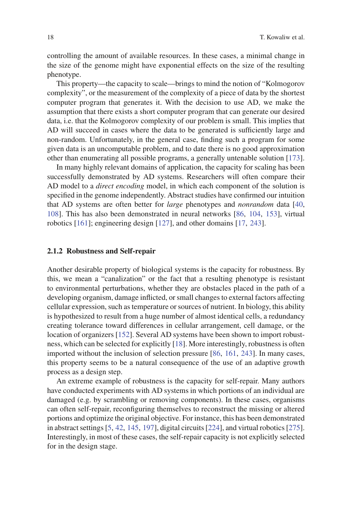controlling the amount of available resources. In these cases, a minimal change in the size of the genome might have exponential effects on the size of the resulting phenotype.

This property—the capacity to scale—brings to mind the notion of "Kolmogorov complexity", or the measurement of the complexity of a piece of data by the shortest computer program that generates it. With the decision to use AD, we make the assumption that there exists a short computer program that can generate our desired data, i.e. that the Kolmogorov complexity of our problem is small. This implies that AD will succeed in cases where the data to be generated is sufficiently large and non-random. Unfortunately, in the general case, finding such a program for some given data is an uncomputable problem, and to date there is no good approximation other than enumerating all possible programs, a generally untenable solution [173].

In many highly relevant domains of application, the capacity for scaling has been successfully demonstrated by AD systems. Researchers will often compare their AD model to a *direct encoding* model, in which each component of the solution is specified in the genome independently. Abstract studies have confirmed our intuition that AD systems are often better for *large* phenotypes and *nonrandom* data [40, 108]. This has also been demonstrated in neural networks [86, 104, 153], virtual robotics [161]; engineering design [127], and other domains [17, 243].

### **2.1.2 Robustness and Self-repair**

Another desirable property of biological systems is the capacity for robustness. By this, we mean a "canalization" or the fact that a resulting phenotype is resistant to environmental perturbations, whether they are obstacles placed in the path of a developing organism, damage inflicted, or small changes to external factors affecting cellular expression, such as temperature or sources of nutrient. In biology, this ability is hypothesized to result from a huge number of almost identical cells, a redundancy creating tolerance toward differences in cellular arrangement, cell damage, or the location of organizers [152]. Several AD systems have been shown to import robustness, which can be selected for explicitly [18]. More interestingly, robustness is often imported without the inclusion of selection pressure [86, 161, 243]. In many cases, this property seems to be a natural consequence of the use of an adaptive growth process as a design step.

An extreme example of robustness is the capacity for self-repair. Many authors have conducted experiments with AD systems in which portions of an individual are damaged (e.g. by scrambling or removing components). In these cases, organisms can often self-repair, reconfiguring themselves to reconstruct the missing or altered portions and optimize the original objective. For instance, this has been demonstrated in abstract settings [5, 42, 145, 197], digital circuits [224], and virtual robotics [275]. Interestingly, in most of these cases, the self-repair capacity is not explicitly selected for in the design stage.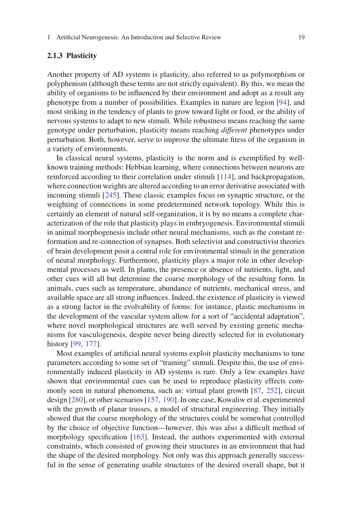### **2.1.3 Plasticity**

Another property of AD systems is plasticity, also referred to as polymorphism or polyphenism (although these terms are not strictly equivalent). By this, we mean the ability of organisms to be influenced by their environment and adopt as a result any phenotype from a number of possibilities. Examples in nature are legion [94], and most striking in the tendency of plants to grow toward light or food, or the ability of nervous systems to adapt to new stimuli. While robustness means reaching the same genotype under perturbation, plasticity means reaching *different* phenotypes under perturbation. Both, however, serve to improve the ultimate fitess of the organism in a variety of environments.

In classical neural systems, plasticity is the norm and is exemplified by wellknown training methods: Hebbian learning, where connections between neurons are reinforced according to their correlation under stimuli [114], and backpropagation, where connection weights are altered according to an error derivative associated with incoming stimuli [245]. These classic examples focus on synaptic structure, or the weighting of connections in some predetermined network topology. While this is certainly an element of natural self-organization, it is by no means a complete characterization of the role that plasticity plays in embryogenesis. Environmental stimuli in animal morphogenesis include other neural mechanisms, such as the constant reformation and re-connection of synapses. Both selectivist and constructivist theories of brain development posit a central role for environmental stimuli in the generation of neural morphology. Furthermore, plasticity plays a major role in other developmental processes as well. In plants, the presence or absence of nutrients, light, and other cues will all but determine the coarse morphology of the resulting form. In animals, cues such as temperature, abundance of nutrients, mechanical stress, and available space are all strong influences. Indeed, the existence of plasticity is viewed as a strong factor in the evolvability of forms: for instance, plastic mechanisms in the development of the vascular system allow for a sort of "accidental adaptation", where novel morphological structures are well served by existing genetic mechanisms for vasculogenesis, despite never being directly selected for in evolutionary history [99, 177].

Most examples of artificial neural systems exploit plasticity mechanisms to tune parameters according to some set of "training" stimuli. Despite this, the use of environmentally induced plasticity in AD systems is rare. Only a few examples have shown that environmental cues can be used to reproduce plasticity effects commonly seen in natural phenomena, such as: virtual plant growth [87, 252], circuit design [280], or other scenarios [157, 190]. In one case, Kowaliw et al. experimented with the growth of planar trusses, a model of structural engineering. They initially showed that the coarse morphology of the structures could be somewhat controlled by the choice of objective function—however, this was also a difficult method of morphology specification [163]. Instead, the authors experimented with external constraints, which consisted of growing their structures in an environment that had the shape of the desired morphology. Not only was this approach generally successful in the sense of generating usable structures of the desired overall shape, but it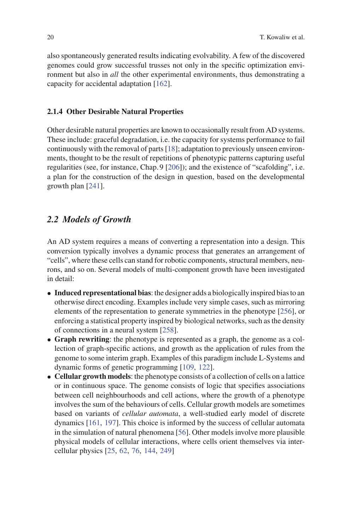also spontaneously generated results indicating evolvability. A few of the discovered genomes could grow successful trusses not only in the specific optimization environment but also in *all* the other experimental environments, thus demonstrating a capacity for accidental adaptation [162].

### **2.1.4 Other Desirable Natural Properties**

Other desirable natural properties are known to occasionally result from AD systems. These include: graceful degradation, i.e. the capacity for systems performance to fail continuously with the removal of parts [18]; adaptation to previously unseen environments, thought to be the result of repetitions of phenotypic patterns capturing useful regularities (see, for instance, Chap. 9 [206]); and the existence of "scafolding", i.e. a plan for the construction of the design in question, based on the developmental growth plan [241].

# *2.2 Models of Growth*

An AD system requires a means of converting a representation into a design. This conversion typically involves a dynamic process that generates an arrangement of "cells", where these cells can stand for robotic components, structural members, neurons, and so on. Several models of multi-component growth have been investigated in detail:

- **Induced representational bias**: the designer adds a biologically inspired bias to an otherwise direct encoding. Examples include very simple cases, such as mirroring elements of the representation to generate symmetries in the phenotype [256], or enforcing a statistical property inspired by biological networks, such as the density of connections in a neural system [258].
- **Graph rewriting**: the phenotype is represented as a graph, the genome as a collection of graph-specific actions, and growth as the application of rules from the genome to some interim graph. Examples of this paradigm include L-Systems and dynamic forms of genetic programming [109, 122].
- **Cellular growth models**: the phenotype consists of a collection of cells on a lattice or in continuous space. The genome consists of logic that specifies associations between cell neighbourhoods and cell actions, where the growth of a phenotype involves the sum of the behaviours of cells. Cellular growth models are sometimes based on variants of *cellular automata*, a well-studied early model of discrete dynamics [161, 197]. This choice is informed by the success of cellular automata in the simulation of natural phenomena [56]. Other models involve more plausible physical models of cellular interactions, where cells orient themselves via intercellular physics [25, 62, 76, 144, 249]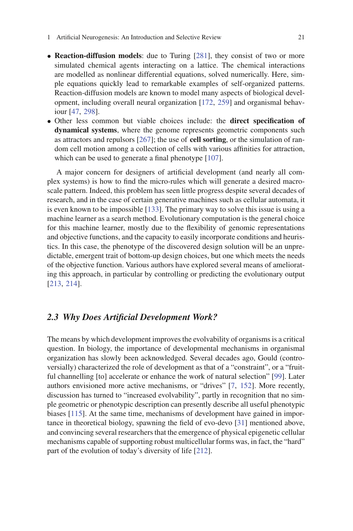- **Reaction-diffusion models**: due to Turing [281], they consist of two or more simulated chemical agents interacting on a lattice. The chemical interactions are modelled as nonlinear differential equations, solved numerically. Here, simple equations quickly lead to remarkable examples of self-organized patterns. Reaction-diffusion models are known to model many aspects of biological development, including overall neural organization [172, 259] and organismal behaviour [47, 298].
- Other less common but viable choices include: the **direct specification of dynamical systems**, where the genome represents geometric components such as attractors and repulsors [267]; the use of **cell sorting**, or the simulation of random cell motion among a collection of cells with various affinities for attraction, which can be used to generate a final phenotype [107].

A major concern for designers of artificial development (and nearly all complex systems) is how to find the micro-rules which will generate a desired macroscale pattern. Indeed, this problem has seen little progress despite several decades of research, and in the case of certain generative machines such as cellular automata, it is even known to be impossible [133]. The primary way to solve this issue is using a machine learner as a search method. Evolutionary computation is the general choice for this machine learner, mostly due to the flexibility of genomic representations and objective functions, and the capacity to easily incorporate conditions and heuristics. In this case, the phenotype of the discovered design solution will be an unpredictable, emergent trait of bottom-up design choices, but one which meets the needs of the objective function. Various authors have explored several means of ameliorating this approach, in particular by controlling or predicting the evolutionary output [213, 214].

# *2.3 Why Does Artificial Development Work?*

The means by which development improves the evolvability of organisms is a critical question. In biology, the importance of developmental mechanisms in organismal organization has slowly been acknowledged. Several decades ago, Gould (controversially) characterized the role of development as that of a "constraint", or a "fruitful channelling [to] accelerate or enhance the work of natural selection" [99]. Later authors envisioned more active mechanisms, or "drives" [7, 152]. More recently, discussion has turned to "increased evolvability", partly in recognition that no simple geometric or phenotypic description can presently describe all useful phenotypic biases [115]. At the same time, mechanisms of development have gained in importance in theoretical biology, spawning the field of evo-devo [31] mentioned above, and convincing several researchers that the emergence of physical epigenetic cellular mechanisms capable of supporting robust multicellular forms was, in fact, the "hard" part of the evolution of today's diversity of life [212].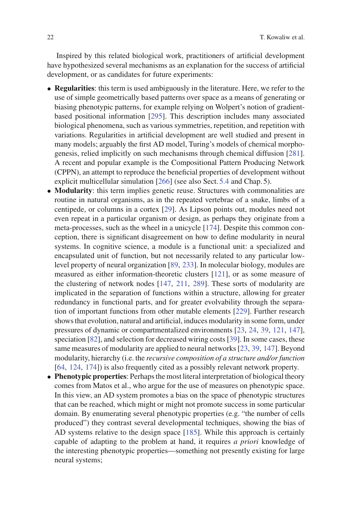Inspired by this related biological work, practitioners of artificial development have hypothesized several mechanisms as an explanation for the success of artificial development, or as candidates for future experiments:

- **Regularities**: this term is used ambiguously in the literature. Here, we refer to the use of simple geometrically based patterns over space as a means of generating or biasing phenotypic patterns, for example relying on Wolpert's notion of gradientbased positional information [295]. This description includes many associated biological phenomena, such as various symmetries, repetition, and repetition with variations. Regularities in artificial development are well studied and present in many models; arguably the first AD model, Turing's models of chemical morphogenesis, relied implicitly on such mechanisms through chemical diffusion [281]. A recent and popular example is the Compositional Pattern Producing Network (CPPN), an attempt to reproduce the beneficial properties of development without explicit multicellular simulation [266] (see also Sect. 5.4 and Chap. 5).
- **Modularity**: this term implies genetic reuse. Structures with commonalities are routine in natural organisms, as in the repeated vertebrae of a snake, limbs of a centipede, or columns in a cortex [29]. As Lipson points out, modules need not even repeat in a particular organism or design, as perhaps they originate from a meta-processes, such as the wheel in a unicycle [174]. Despite this common conception, there is significant disagreement on how to define modularity in neural systems. In cognitive science, a module is a functional unit: a specialized and encapsulated unit of function, but not necessarily related to any particular lowlevel property of neural organization [89, 233]. In molecular biology, modules are measured as either information-theoretic clusters [121], or as some measure of the clustering of network nodes [147, 211, 289]. These sorts of modularity are implicated in the separation of functions within a structure, allowing for greater redundancy in functional parts, and for greater evolvability through the separation of important functions from other mutable elements [229]. Further research shows that evolution, natural and artificial, induces modularity in some form, under pressures of dynamic or compartmentalized environments [23, 24, 39, 121, 147], speciation [82], and selection for decreased wiring costs [39]. In some cases, these same measures of modularity are applied to neural networks [23, 39, 147]. Beyond modularity, hierarchy (i.e. the *recursive composition of a structure and/or function* [64, 124, 174]) is also frequently cited as a possibly relevant network property.
- **Phenotypic properties**: Perhaps the most literal interpretation of biological theory comes from Matos et al., who argue for the use of measures on phenotypic space. In this view, an AD system promotes a bias on the space of phenotypic structures that can be reached, which might or might not promote success in some particular domain. By enumerating several phenotypic properties (e.g. "the number of cells produced") they contrast several developmental techniques, showing the bias of AD systems relative to the design space [185]. While this approach is certainly capable of adapting to the problem at hand, it requires *a priori* knowledge of the interesting phenotypic properties—something not presently existing for large neural systems;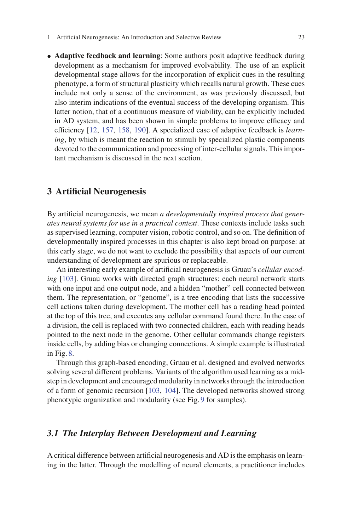• **Adaptive feedback and learning**: Some authors posit adaptive feedback during development as a mechanism for improved evolvability. The use of an explicit developmental stage allows for the incorporation of explicit cues in the resulting phenotype, a form of structural plasticity which recalls natural growth. These cues include not only a sense of the environment, as was previously discussed, but also interim indications of the eventual success of the developing organism. This latter notion, that of a continuous measure of viability, can be explicitly included in AD system, and has been shown in simple problems to improve efficacy and efficiency [12, 157, 158, 190]. A specialized case of adaptive feedback is *learning*, by which is meant the reaction to stimuli by specialized plastic components devoted to the communication and processing of inter-cellular signals. This important mechanism is discussed in the next section.

# **3 Artificial Neurogenesis**

By artificial neurogenesis, we mean *a developmentally inspired process that generates neural systems for use in a practical context*. These contexts include tasks such as supervised learning, computer vision, robotic control, and so on. The definition of developmentally inspired processes in this chapter is also kept broad on purpose: at this early stage, we do not want to exclude the possibility that aspects of our current understanding of development are spurious or replaceable.

An interesting early example of artificial neurogenesis is Gruau's *cellular encoding* [103]. Gruau works with directed graph structures: each neural network starts with one input and one output node, and a hidden "mother" cell connected between them. The representation, or "genome", is a tree encoding that lists the successive cell actions taken during development. The mother cell has a reading head pointed at the top of this tree, and executes any cellular command found there. In the case of a division, the cell is replaced with two connected children, each with reading heads pointed to the next node in the genome. Other cellular commands change registers inside cells, by adding bias or changing connections. A simple example is illustrated in Fig. 8.

Through this graph-based encoding, Gruau et al. designed and evolved networks solving several different problems. Variants of the algorithm used learning as a midstep in development and encouraged modularity in networks through the introduction of a form of genomic recursion [103, 104]. The developed networks showed strong phenotypic organization and modularity (see Fig. 9 for samples).

# *3.1 The Interplay Between Development and Learning*

A critical difference between artificial neurogenesis and AD is the emphasis on learning in the latter. Through the modelling of neural elements, a practitioner includes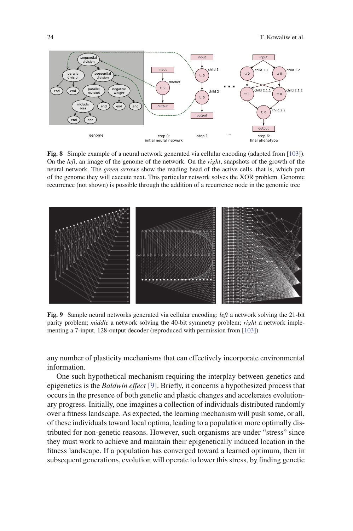

**Fig. 8** Simple example of a neural network generated via cellular encoding (adapted from [103]). On the *left*, an image of the genome of the network. On the *right*, snapshots of the growth of the neural network. The *green arrows* show the reading head of the active cells, that is, which part of the genome they will execute next. This particular network solves the XOR problem. Genomic recurrence (not shown) is possible through the addition of a recurrence node in the genomic tree



**Fig. 9** Sample neural networks generated via cellular encoding: *left* a network solving the 21-bit parity problem; *middle* a network solving the 40-bit symmetry problem; *right* a network implementing a 7-input, 128-output decoder (reproduced with permission from [103])

any number of plasticity mechanisms that can effectively incorporate environmental information.

One such hypothetical mechanism requiring the interplay between genetics and epigenetics is the *Baldwin effect* [9]. Briefly, it concerns a hypothesized process that occurs in the presence of both genetic and plastic changes and accelerates evolutionary progress. Initially, one imagines a collection of individuals distributed randomly over a fitness landscape. As expected, the learning mechanism will push some, or all, of these individuals toward local optima, leading to a population more optimally distributed for non-genetic reasons. However, such organisms are under "stress" since they must work to achieve and maintain their epigenetically induced location in the fitness landscape. If a population has converged toward a learned optimum, then in subsequent generations, evolution will operate to lower this stress, by finding genetic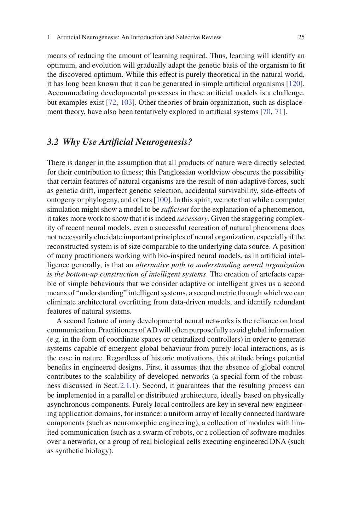means of reducing the amount of learning required. Thus, learning will identify an optimum, and evolution will gradually adapt the genetic basis of the organism to fit the discovered optimum. While this effect is purely theoretical in the natural world, it has long been known that it can be generated in simple artificial organisms [120]. Accommodating developmental processes in these artificial models is a challenge, but examples exist [72, 103]. Other theories of brain organization, such as displacement theory, have also been tentatively explored in artificial systems [70, 71].

# *3.2 Why Use Artificial Neurogenesis?*

There is danger in the assumption that all products of nature were directly selected for their contribution to fitness; this Panglossian worldview obscures the possibility that certain features of natural organisms are the result of non-adaptive forces, such as genetic drift, imperfect genetic selection, accidental survivability, side-effects of ontogeny or phylogeny, and others [100]. In this spirit, we note that while a computer simulation might show a model to be *sufficient* for the explanation of a phenomenon, it takes more work to show that it is indeed *necessary*. Given the staggering complexity of recent neural models, even a successful recreation of natural phenomena does not necessarily elucidate important principles of neural organization, especially if the reconstructed system is of size comparable to the underlying data source. A position of many practitioners working with bio-inspired neural models, as in artificial intelligence generally, is that an *alternative path to understanding neural organization is the bottom-up construction of intelligent systems*. The creation of artefacts capable of simple behaviours that we consider adaptive or intelligent gives us a second means of "understanding" intelligent systems, a second metric through which we can eliminate architectural overfitting from data-driven models, and identify redundant features of natural systems.

A second feature of many developmental neural networks is the reliance on local communication. Practitioners of AD will often purposefully avoid global information (e.g. in the form of coordinate spaces or centralized controllers) in order to generate systems capable of emergent global behaviour from purely local interactions, as is the case in nature. Regardless of historic motivations, this attitude brings potential benefits in engineered designs. First, it assumes that the absence of global control contributes to the scalability of developed networks (a special form of the robustness discussed in Sect. 2.1.1). Second, it guarantees that the resulting process can be implemented in a parallel or distributed architecture, ideally based on physically asynchronous components. Purely local controllers are key in several new engineering application domains, for instance: a uniform array of locally connected hardware components (such as neuromorphic engineering), a collection of modules with limited communication (such as a swarm of robots, or a collection of software modules over a network), or a group of real biological cells executing engineered DNA (such as synthetic biology).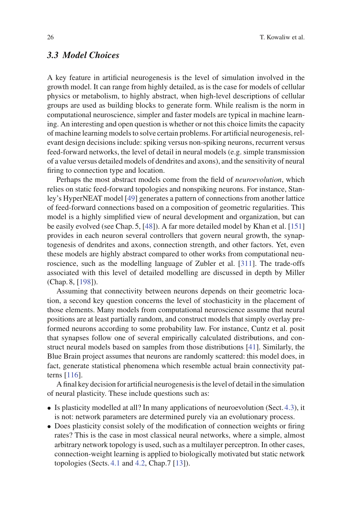# *3.3 Model Choices*

A key feature in artificial neurogenesis is the level of simulation involved in the growth model. It can range from highly detailed, as is the case for models of cellular physics or metabolism, to highly abstract, when high-level descriptions of cellular groups are used as building blocks to generate form. While realism is the norm in computational neuroscience, simpler and faster models are typical in machine learning. An interesting and open question is whether or not this choice limits the capacity of machine learning models to solve certain problems. For artificial neurogenesis, relevant design decisions include: spiking versus non-spiking neurons, recurrent versus feed-forward networks, the level of detail in neural models (e.g. simple transmission of a value versus detailed models of dendrites and axons), and the sensitivity of neural firing to connection type and location.

Perhaps the most abstract models come from the field of *neuroevolution*, which relies on static feed-forward topologies and nonspiking neurons. For instance, Stanley's HyperNEAT model [49] generates a pattern of connections from another lattice of feed-forward connections based on a composition of geometric regularities. This model is a highly simplified view of neural development and organization, but can be easily evolved (see Chap. 5, [48]). A far more detailed model by Khan et al. [151] provides in each neuron several controllers that govern neural growth, the synaptogenesis of dendrites and axons, connection strength, and other factors. Yet, even these models are highly abstract compared to other works from computational neuroscience, such as the modelling language of Zubler et al. [311]. The trade-offs associated with this level of detailed modelling are discussed in depth by Miller (Chap. 8, [198]).

Assuming that connectivity between neurons depends on their geometric location, a second key question concerns the level of stochasticity in the placement of those elements. Many models from computational neuroscience assume that neural positions are at least partially random, and construct models that simply overlay preformed neurons according to some probability law. For instance, Cuntz et al. posit that synapses follow one of several empirically calculated distributions, and construct neural models based on samples from those distributions [41]. Similarly, the Blue Brain project assumes that neurons are randomly scattered: this model does, in fact, generate statistical phenomena which resemble actual brain connectivity patterns [116].

A final key decision for artificial neurogenesis is the level of detail in the simulation of neural plasticity. These include questions such as:

- Is plasticity modelled at all? In many applications of neuroevolution (Sect. 4.3), it is not: network parameters are determined purely via an evolutionary process.
- Does plasticity consist solely of the modification of connection weights or firing rates? This is the case in most classical neural networks, where a simple, almost arbitrary network topology is used, such as a multilayer perceptron. In other cases, connection-weight learning is applied to biologically motivated but static network topologies (Sects. 4.1 and 4.2, Chap.7 [13]).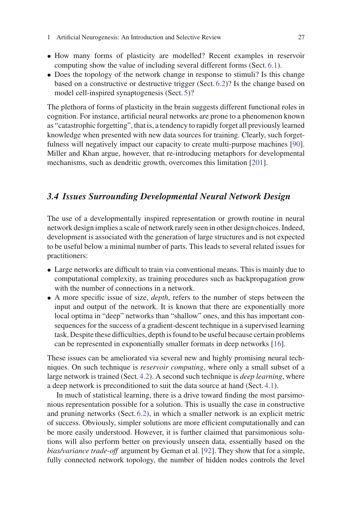- How many forms of plasticity are modelled? Recent examples in reservoir computing show the value of including several different forms (Sect. 6.1).
- Does the topology of the network change in response to stimuli? Is this change based on a constructive or destructive trigger (Sect. 6.2)? Is the change based on model cell-inspired synaptogenesis (Sect. 5)?

The plethora of forms of plasticity in the brain suggests different functional roles in cognition. For instance, artificial neural networks are prone to a phenomenon known as "catastrophic forgetting", that is, a tendency to rapidly forget all previously learned knowledge when presented with new data sources for training. Clearly, such forgetfulness will negatively impact our capacity to create multi-purpose machines [90]. Miller and Khan argue, however, that re-introducing metaphors for developmental mechanisms, such as dendritic growth, overcomes this limitation [201].

# *3.4 Issues Surrounding Developmental Neural Network Design*

The use of a developmentally inspired representation or growth routine in neural network design implies a scale of network rarely seen in other design choices. Indeed, development is associated with the generation of large structures and is not expected to be useful below a minimal number of parts. This leads to several related issues for practitioners:

- Large networks are difficult to train via conventional means. This is mainly due to computational complexity, as training procedures such as backpropagation grow with the number of connections in a network.
- A more specific issue of size, *depth*, refers to the number of steps between the input and output of the network. It is known that there are exponentially more local optima in "deep" networks than "shallow" ones, and this has important consequences for the success of a gradient-descent technique in a supervised learning task. Despite these difficulties, depth is found to be useful because certain problems can be represented in exponentially smaller formats in deep networks [16].

These issues can be ameliorated via several new and highly promising neural techniques. On such technique is *reservoir computing*, where only a small subset of a large network is trained (Sect. 4.2). A second such technique is *deep learning*, where a deep network is preconditioned to suit the data source at hand (Sect. 4.1).

In much of statistical learning, there is a drive toward finding the most parsimonious representation possible for a solution. This is usually the case in constructive and pruning networks (Sect. 6.2), in which a smaller network is an explicit metric of success. Obviously, simpler solutions are more efficient computationally and can be more easily understood. However, it is further claimed that parsimonious solutions will also perform better on previously unseen data, essentially based on the *bias/variance trade-off* argument by Geman et al. [92]. They show that for a simple, fully connected network topology, the number of hidden nodes controls the level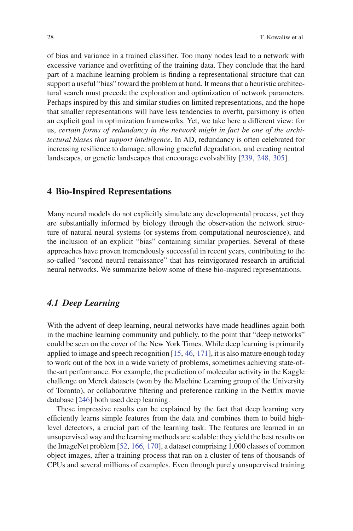of bias and variance in a trained classifier. Too many nodes lead to a network with excessive variance and overfitting of the training data. They conclude that the hard part of a machine learning problem is finding a representational structure that can support a useful "bias" toward the problem at hand. It means that a heuristic architectural search must precede the exploration and optimization of network parameters. Perhaps inspired by this and similar studies on limited representations, and the hope that smaller representations will have less tendencies to overfit, parsimony is often an explicit goal in optimization frameworks. Yet, we take here a different view: for us, *certain forms of redundancy in the network might in fact be one of the architectural biases that support intelligence*. In AD, redundancy is often celebrated for increasing resilience to damage, allowing graceful degradation, and creating neutral landscapes, or genetic landscapes that encourage evolvability [239, 248, 305].

# **4 Bio-Inspired Representations**

Many neural models do not explicitly simulate any developmental process, yet they are substantially informed by biology through the observation the network structure of natural neural systems (or systems from computational neuroscience), and the inclusion of an explicit "bias" containing similar properties. Several of these approaches have proven tremendously successful in recent years, contributing to the so-called "second neural renaissance" that has reinvigorated research in artificial neural networks. We summarize below some of these bio-inspired representations.

# *4.1 Deep Learning*

With the advent of deep learning, neural networks have made headlines again both in the machine learning community and publicly, to the point that "deep networks" could be seen on the cover of the New York Times. While deep learning is primarily applied to image and speech recognition [15, 46, 171], it is also mature enough today to work out of the box in a wide variety of problems, sometimes achieving state-ofthe-art performance. For example, the prediction of molecular activity in the Kaggle challenge on Merck datasets (won by the Machine Learning group of the University of Toronto), or collaborative filtering and preference ranking in the Netflix movie database [246] both used deep learning.

These impressive results can be explained by the fact that deep learning very efficiently learns simple features from the data and combines them to build highlevel detectors, a crucial part of the learning task. The features are learned in an unsupervised way and the learning methods are scalable: they yield the best results on the ImageNet problem [52, 166, 170], a dataset comprising 1,000 classes of common object images, after a training process that ran on a cluster of tens of thousands of CPUs and several millions of examples. Even through purely unsupervised training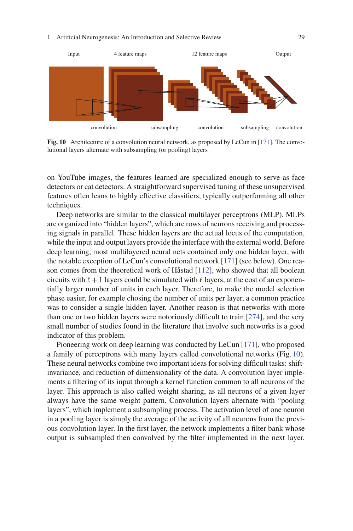### 1 Artificial Neurogenesis: An Introduction and Selective Review 29



**Fig. 10** Architecture of a convolution neural network, as proposed by LeCun in [171]. The convolutional layers alternate with subsampling (or pooling) layers

on YouTube images, the features learned are specialized enough to serve as face detectors or cat detectors. A straightforward supervised tuning of these unsupervised features often leans to highly effective classifiers, typically outperforming all other techniques.

Deep networks are similar to the classical multilayer perceptrons (MLP). MLPs are organized into "hidden layers", which are rows of neurons receiving and processing signals in parallel. These hidden layers are the actual locus of the computation, while the input and output layers provide the interface with the external world. Before deep learning, most multilayered neural nets contained only one hidden layer, with the notable exception of LeCun's convolutional network [171] (see below). One reason comes from the theoretical work of Håstad [112], who showed that all boolean circuits with  $\ell + 1$  layers could be simulated with  $\ell$  layers, at the cost of an exponentially larger number of units in each layer. Therefore, to make the model selection phase easier, for example chosing the number of units per layer, a common practice was to consider a single hidden layer. Another reason is that networks with more than one or two hidden layers were notoriously difficult to train [274], and the very small number of studies found in the literature that involve such networks is a good indicator of this problem.

Pioneering work on deep learning was conducted by LeCun [171], who proposed a family of perceptrons with many layers called convolutional networks (Fig. 10). These neural networks combine two important ideas for solving difficult tasks: shiftinvariance, and reduction of dimensionality of the data. A convolution layer implements a filtering of its input through a kernel function common to all neurons of the layer. This approach is also called weight sharing, as all neurons of a given layer always have the same weight pattern. Convolution layers alternate with "pooling layers", which implement a subsampling process. The activation level of one neuron in a pooling layer is simply the average of the activity of all neurons from the previous convolution layer. In the first layer, the network implements a filter bank whose output is subsampled then convolved by the filter implemented in the next layer.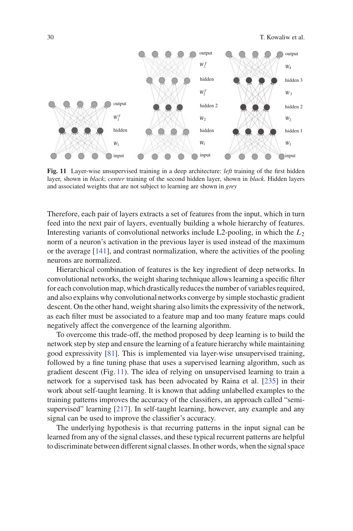

**Fig. 11** Layer-wise unsupervised training in a deep architecture: *left* training of the first hidden layer, shown in *black*; *center* training of the second hidden layer, shown in *black*. Hidden layers and associated weights that are not subject to learning are shown in *grey*

Therefore, each pair of layers extracts a set of features from the input, which in turn feed into the next pair of layers, eventually building a whole hierarchy of features. Interesting variants of convolutional networks include L2-pooling, in which the *L*<sup>2</sup> norm of a neuron's activation in the previous layer is used instead of the maximum or the average [141], and contrast normalization, where the activities of the pooling neurons are normalized.

Hierarchical combination of features is the key ingredient of deep networks. In convolutional networks, the weight sharing technique allows learning a specific filter for each convolution map, which drastically reduces the number of variables required, and also explains why convolutional networks converge by simple stochastic gradient descent. On the other hand, weight sharing also limits the expressivity of the network, as each filter must be associated to a feature map and too many feature maps could negatively affect the convergence of the learning algorithm.

To overcome this trade-off, the method proposed by deep learning is to build the network step by step and ensure the learning of a feature hierarchy while maintaining good expressivity [81]. This is implemented via layer-wise unsupervised training, followed by a fine tuning phase that uses a supervised learning algorithm, such as gradient descent (Fig. 11). The idea of relying on unsupervised learning to train a network for a supervised task has been advocated by Raina et al. [235] in their work about self-taught learning. It is known that adding unlabelled examples to the training patterns improves the accuracy of the classifiers, an approach called "semisupervised" learning [217]. In self-taught learning, however, any example and any signal can be used to improve the classifier's accuracy.

The underlying hypothesis is that recurring patterns in the input signal can be learned from any of the signal classes, and these typical recurrent patterns are helpful to discriminate between different signal classes. In other words, when the signal space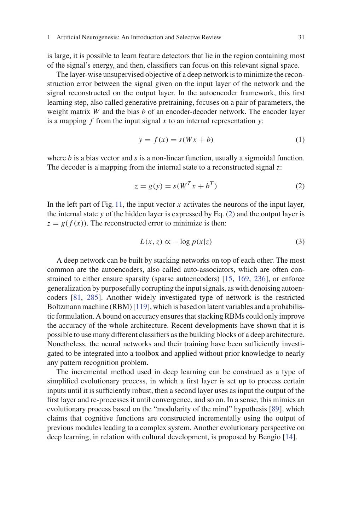is large, it is possible to learn feature detectors that lie in the region containing most of the signal's energy, and then, classifiers can focus on this relevant signal space.

The layer-wise unsupervised objective of a deep network is to minimize the reconstruction error between the signal given on the input layer of the network and the signal reconstructed on the output layer. In the autoencoder framework, this first learning step, also called generative pretraining, focuses on a pair of parameters, the weight matrix *W* and the bias *b* of an encoder-decoder network. The encoder layer is a mapping *f* from the input signal *x* to an internal representation *y*:

$$
y = f(x) = s(Wx + b)
$$
 (1)

where *b* is a bias vector and *s* is a non-linear function, usually a sigmoidal function. The decoder is a mapping from the internal state to a reconstructed signal *z*:

$$
z = g(y) = s(WT x + bT)
$$
\n(2)

In the left part of Fig. 11, the input vector  $x$  activates the neurons of the input layer, the internal state *y* of the hidden layer is expressed by Eq. (2) and the output layer is  $z = g(f(x))$ . The reconstructed error to minimize is then:

$$
L(x, z) \propto -\log p(x|z) \tag{3}
$$

A deep network can be built by stacking networks on top of each other. The most common are the autoencoders, also called auto-associators, which are often constrained to either ensure sparsity (sparse autoencoders) [15, 169, 236], or enforce generalization by purposefully corrupting the input signals, as with denoising autoencoders [81, 285]. Another widely investigated type of network is the restricted Boltzmann machine (RBM) [119], which is based on latent variables and a probabilistic formulation. A bound on accuracy ensures that stacking RBMs could only improve the accuracy of the whole architecture. Recent developments have shown that it is possible to use many different classifiers as the building blocks of a deep architecture. Nonetheless, the neural networks and their training have been sufficiently investigated to be integrated into a toolbox and applied without prior knowledge to nearly any pattern recognition problem.

The incremental method used in deep learning can be construed as a type of simplified evolutionary process, in which a first layer is set up to process certain inputs until it is sufficiently robust, then a second layer uses as input the output of the first layer and re-processes it until convergence, and so on. In a sense, this mimics an evolutionary process based on the "modularity of the mind" hypothesis [89], which claims that cognitive functions are constructed incrementally using the output of previous modules leading to a complex system. Another evolutionary perspective on deep learning, in relation with cultural development, is proposed by Bengio [14].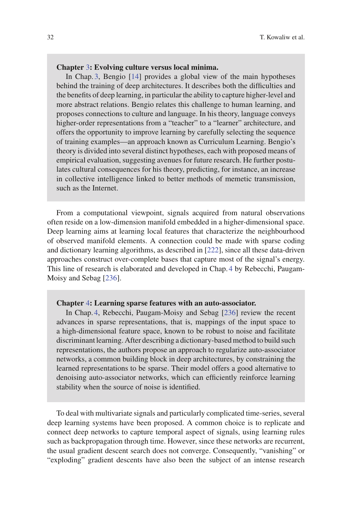### **Chapter** 3**: Evolving culture versus local minima.**

In Chap. 3, Bengio [14] provides a global view of the main hypotheses behind the training of deep architectures. It describes both the difficulties and the benefits of deep learning, in particular the ability to capture higher-level and more abstract relations. Bengio relates this challenge to human learning, and proposes connections to culture and language. In his theory, language conveys higher-order representations from a "teacher" to a "learner" architecture, and offers the opportunity to improve learning by carefully selecting the sequence of training examples—an approach known as Curriculum Learning. Bengio's theory is divided into several distinct hypotheses, each with proposed means of empirical evaluation, suggesting avenues for future research. He further postulates cultural consequences for his theory, predicting, for instance, an increase in collective intelligence linked to better methods of memetic transmission, such as the Internet.

From a computational viewpoint, signals acquired from natural observations often reside on a low-dimension manifold embedded in a higher-dimensional space. Deep learning aims at learning local features that characterize the neighbourhood of observed manifold elements. A connection could be made with sparse coding and dictionary learning algorithms, as described in [222], since all these data-driven approaches construct over-complete bases that capture most of the signal's energy. This line of research is elaborated and developed in Chap. 4 by Rebecchi, Paugam-Moisy and Sebag [236].

### **Chapter** 4**: Learning sparse features with an auto-associator.**

In Chap. 4, Rebecchi, Paugam-Moisy and Sebag [236] review the recent advances in sparse representations, that is, mappings of the input space to a high-dimensional feature space, known to be robust to noise and facilitate discriminant learning. After describing a dictionary-based method to build such representations, the authors propose an approach to regularize auto-associator networks, a common building block in deep architectures, by constraining the learned representations to be sparse. Their model offers a good alternative to denoising auto-associator networks, which can efficiently reinforce learning stability when the source of noise is identified.

To deal with multivariate signals and particularly complicated time-series, several deep learning systems have been proposed. A common choice is to replicate and connect deep networks to capture temporal aspect of signals, using learning rules such as backpropagation through time. However, since these networks are recurrent, the usual gradient descent search does not converge. Consequently, "vanishing" or "exploding" gradient descents have also been the subject of an intense research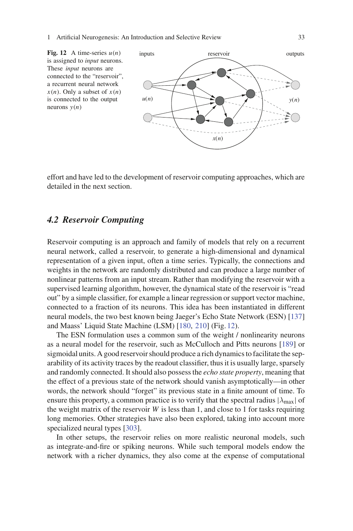

effort and have led to the development of reservoir computing approaches, which are detailed in the next section.

# *4.2 Reservoir Computing*

Reservoir computing is an approach and family of models that rely on a recurrent neural network, called a reservoir, to generate a high-dimensional and dynamical representation of a given input, often a time series. Typically, the connections and weights in the network are randomly distributed and can produce a large number of nonlinear patterns from an input stream. Rather than modifying the reservoir with a supervised learning algorithm, however, the dynamical state of the reservoir is "read out" by a simple classifier, for example a linear regression or support vector machine, connected to a fraction of its neurons. This idea has been instantiated in different neural models, the two best known being Jaeger's Echo State Network (ESN) [137] and Maass' Liquid State Machine (LSM) [180, 210] (Fig. 12).

The ESN formulation uses a common sum of the weight / nonlinearity neurons as a neural model for the reservoir, such as McCulloch and Pitts neurons [189] or sigmoidal units. A good reservoir should produce a rich dynamics to facilitate the separability of its activity traces by the readout classifier, thus it is usually large, sparsely and randomly connected. It should also possess the *echo state property*, meaning that the effect of a previous state of the network should vanish asymptotically—in other words, the network should "forget" its previous state in a finite amount of time. To ensure this property, a common practice is to verify that the spectral radius  $|\lambda_{\text{max}}|$  of the weight matrix of the reservoir *W* is less than 1, and close to 1 for tasks requiring long memories. Other strategies have also been explored, taking into account more specialized neural types [303].

In other setups, the reservoir relies on more realistic neuronal models, such as integrate-and-fire or spiking neurons. While such temporal models endow the network with a richer dynamics, they also come at the expense of computational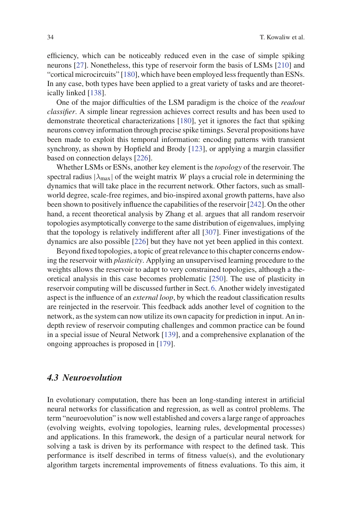efficiency, which can be noticeably reduced even in the case of simple spiking neurons [27]. Nonetheless, this type of reservoir form the basis of LSMs [210] and "cortical microcircuits" [180], which have been employed less frequently than ESNs. In any case, both types have been applied to a great variety of tasks and are theoretically linked [138].

One of the major difficulties of the LSM paradigm is the choice of the *readout classifier*. A simple linear regression achieves correct results and has been used to demonstrate theoretical characterizations [180], yet it ignores the fact that spiking neurons convey information through precise spike timings. Several propositions have been made to exploit this temporal information: encoding patterns with transient synchrony, as shown by Hopfield and Brody [123], or applying a margin classifier based on connection delays [226].

Whether LSMs or ESNs, another key element is the *topology* of the reservoir. The spectral radius  $|\lambda_{\text{max}}|$  of the weight matrix *W* plays a crucial role in determining the dynamics that will take place in the recurrent network. Other factors, such as smallworld degree, scale-free regimes, and bio-inspired axonal growth patterns, have also been shown to positively influence the capabilities of the reservoir [242]. On the other hand, a recent theoretical analysis by Zhang et al. argues that all random reservoir topologies asymptotically converge to the same distribution of eigenvalues, implying that the topology is relatively indifferent after all [307]. Finer investigations of the dynamics are also possible [226] but they have not yet been applied in this context.

Beyond fixed topologies, a topic of great relevance to this chapter concerns endowing the reservoir with *plasticity*. Applying an unsupervised learning procedure to the weights allows the reservoir to adapt to very constrained topologies, although a theoretical analysis in this case becomes problematic [250]. The use of plasticity in reservoir computing will be discussed further in Sect. 6. Another widely investigated aspect is the influence of an *external loop*, by which the readout classification results are reinjected in the reservoir. This feedback adds another level of cognition to the network, as the system can now utilize its own capacity for prediction in input. An indepth review of reservoir computing challenges and common practice can be found in a special issue of Neural Network [139], and a comprehensive explanation of the ongoing approaches is proposed in [179].

# *4.3 Neuroevolution*

In evolutionary computation, there has been an long-standing interest in artificial neural networks for classification and regression, as well as control problems. The term "neuroevolution" is now well established and covers a large range of approaches (evolving weights, evolving topologies, learning rules, developmental processes) and applications. In this framework, the design of a particular neural network for solving a task is driven by its performance with respect to the defined task. This performance is itself described in terms of fitness value(s), and the evolutionary algorithm targets incremental improvements of fitness evaluations. To this aim, it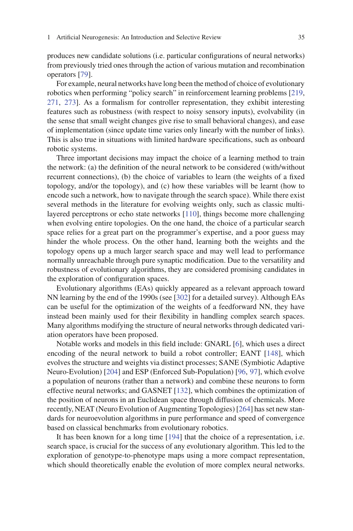produces new candidate solutions (i.e. particular configurations of neural networks) from previously tried ones through the action of various mutation and recombination operators [79].

For example, neural networks have long been the method of choice of evolutionary robotics when performing "policy search" in reinforcement learning problems [219, 271, 273]. As a formalism for controller representation, they exhibit interesting features such as robustness (with respect to noisy sensory inputs), evolvability (in the sense that small weight changes give rise to small behavioral changes), and ease of implementation (since update time varies only linearly with the number of links). This is also true in situations with limited hardware specifications, such as onboard robotic systems.

Three important decisions may impact the choice of a learning method to train the network: (a) the definition of the neural network to be considered (with/without recurrent connections), (b) the choice of variables to learn (the weights of a fixed topology, and/or the topology), and (c) how these variables will be learnt (how to encode such a network, how to navigate through the search space). While there exist several methods in the literature for evolving weights only, such as classic multilayered perceptrons or echo state networks [110], things become more challenging when evolving entire topologies. On the one hand, the choice of a particular search space relies for a great part on the programmer's expertise, and a poor guess may hinder the whole process. On the other hand, learning both the weights and the topology opens up a much larger search space and may well lead to performance normally unreachable through pure synaptic modification. Due to the versatility and robustness of evolutionary algorithms, they are considered promising candidates in the exploration of configuration spaces.

Evolutionary algorithms (EAs) quickly appeared as a relevant approach toward NN learning by the end of the 1990s (see [302] for a detailed survey). Although EAs can be useful for the optimization of the weights of a feedforward NN, they have instead been mainly used for their flexibility in handling complex search spaces. Many algorithms modifying the structure of neural networks through dedicated variation operators have been proposed.

Notable works and models in this field include: GNARL [6], which uses a direct encoding of the neural network to build a robot controller; EANT [148], which evolves the structure and weights via distinct processes; SANE (Symbiotic Adaptive Neuro-Evolution) [204] and ESP (Enforced Sub-Population) [96, 97], which evolve a population of neurons (rather than a network) and combine these neurons to form effective neural networks; and GASNET [132], which combines the optimization of the position of neurons in an Euclidean space through diffusion of chemicals. More recently, NEAT (Neuro Evolution of Augmenting Topologies)[264] has set new standards for neuroevolution algorithms in pure performance and speed of convergence based on classical benchmarks from evolutionary robotics.

It has been known for a long time [194] that the choice of a representation, i.e. search space, is crucial for the success of any evolutionary algorithm. This led to the exploration of genotype-to-phenotype maps using a more compact representation, which should theoretically enable the evolution of more complex neural networks.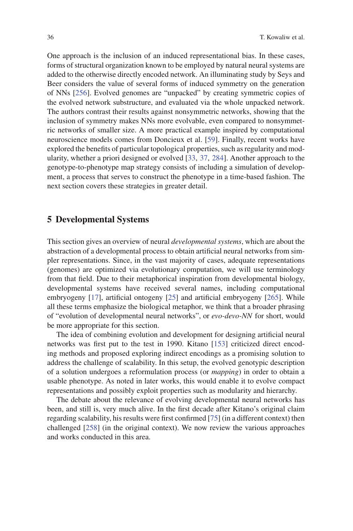One approach is the inclusion of an induced representational bias. In these cases, forms of structural organization known to be employed by natural neural systems are added to the otherwise directly encoded network. An illuminating study by Seys and Beer considers the value of several forms of induced symmetry on the generation of NNs [256]. Evolved genomes are "unpacked" by creating symmetric copies of the evolved network substructure, and evaluated via the whole unpacked network. The authors contrast their results against nonsymmetric networks, showing that the inclusion of symmetry makes NNs more evolvable, even compared to nonsymmetric networks of smaller size. A more practical example inspired by computational neuroscience models comes from Doncieux et al. [59]. Finally, recent works have explored the benefits of particular topological properties, such as regularity and modularity, whether a priori designed or evolved [33, 37, 284]. Another approach to the genotype-to-phenotype map strategy consists of including a simulation of development, a process that serves to construct the phenotype in a time-based fashion. The next section covers these strategies in greater detail.

# **5 Developmental Systems**

This section gives an overview of neural *developmental systems*, which are about the abstraction of a developmental process to obtain artificial neural networks from simpler representations. Since, in the vast majority of cases, adequate representations (genomes) are optimized via evolutionary computation, we will use terminology from that field. Due to their metaphorical inspiration from developmental biology, developmental systems have received several names, including computational embryogeny [17], artificial ontogeny [25] and artificial embryogeny [265]. While all these terms emphasize the biological metaphor, we think that a broader phrasing of "evolution of developmental neural networks", or *evo-devo-NN* for short, would be more appropriate for this section.

The idea of combining evolution and development for designing artificial neural networks was first put to the test in 1990. Kitano [153] criticized direct encoding methods and proposed exploring indirect encodings as a promising solution to address the challenge of scalability. In this setup, the evolved genotypic description of a solution undergoes a reformulation process (or *mapping*) in order to obtain a usable phenotype. As noted in later works, this would enable it to evolve compact representations and possibly exploit properties such as modularity and hierarchy.

The debate about the relevance of evolving developmental neural networks has been, and still is, very much alive. In the first decade after Kitano's original claim regarding scalability, his results were first confirmed [75] (in a different context) then challenged [258] (in the original context). We now review the various approaches and works conducted in this area.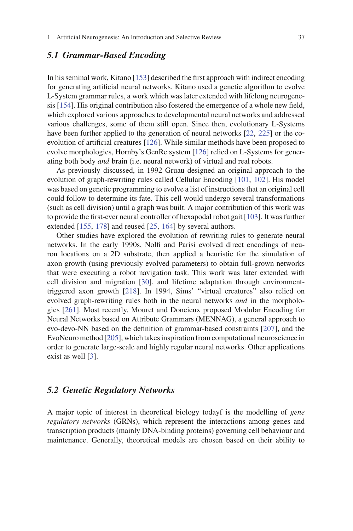# *5.1 Grammar-Based Encoding*

In his seminal work, Kitano [153] described the first approach with indirect encoding for generating artificial neural networks. Kitano used a genetic algorithm to evolve L-System grammar rules, a work which was later extended with lifelong neurogenesis [154]. His original contribution also fostered the emergence of a whole new field, which explored various approaches to developmental neural networks and addressed various challenges, some of them still open. Since then, evolutionary L-Systems have been further applied to the generation of neural networks [22, 225] or the coevolution of artificial creatures [126]. While similar methods have been proposed to evolve morphologies, Hornby's GenRe system [126] relied on L-Systems for generating both body *and* brain (i.e. neural network) of virtual and real robots.

As previously discussed, in 1992 Gruau designed an original approach to the evolution of graph-rewriting rules called Cellular Encoding [101, 102]. His model was based on genetic programming to evolve a list of instructions that an original cell could follow to determine its fate. This cell would undergo several transformations (such as cell division) until a graph was built. A major contribution of this work was to provide the first-ever neural controller of hexapodal robot gait [103]. It was further extended [155, 178] and reused [25, 164] by several authors.

Other studies have explored the evolution of rewriting rules to generate neural networks. In the early 1990s, Nolfi and Parisi evolved direct encodings of neuron locations on a 2D substrate, then applied a heuristic for the simulation of axon growth (using previously evolved parameters) to obtain full-grown networks that were executing a robot navigation task. This work was later extended with cell division and migration [30], and lifetime adaptation through environmenttriggered axon growth [218]. In 1994, Sims' "virtual creatures" also relied on evolved graph-rewriting rules both in the neural networks *and* in the morphologies [261]. Most recently, Mouret and Doncieux proposed Modular Encoding for Neural Networks based on Attribute Grammars (MENNAG), a general approach to evo-devo-NN based on the definition of grammar-based constraints [207], and the EvoNeuro method [205], which takes inspiration from computational neuroscience in order to generate large-scale and highly regular neural networks. Other applications exist as well [3].

# *5.2 Genetic Regulatory Networks*

A major topic of interest in theoretical biology todayf is the modelling of *gene regulatory networks* (GRNs), which represent the interactions among genes and transcription products (mainly DNA-binding proteins) governing cell behaviour and maintenance. Generally, theoretical models are chosen based on their ability to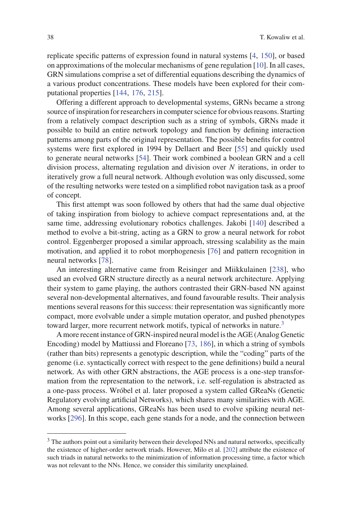replicate specific patterns of expression found in natural systems [4, 150], or based on approximations of the molecular mechanisms of gene regulation [10]. In all cases, GRN simulations comprise a set of differential equations describing the dynamics of a various product concentrations. These models have been explored for their computational properties [144, 176, 215].

Offering a different approach to developmental systems, GRNs became a strong source of inspiration for researchers in computer science for obvious reasons. Starting from a relatively compact description such as a string of symbols, GRNs made it possible to build an entire network topology and function by defining interaction patterns among parts of the original representation. The possible benefits for control systems were first explored in 1994 by Dellaert and Beer [55] and quickly used to generate neural networks [54]. Their work combined a boolean GRN and a cell division process, alternating regulation and division over *N* iterations, in order to iteratively grow a full neural network. Although evolution was only discussed, some of the resulting networks were tested on a simplified robot navigation task as a proof of concept.

This first attempt was soon followed by others that had the same dual objective of taking inspiration from biology to achieve compact representations and, at the same time, addressing evolutionary robotics challenges. Jakobi [140] described a method to evolve a bit-string, acting as a GRN to grow a neural network for robot control. Eggenberger proposed a similar approach, stressing scalability as the main motivation, and applied it to robot morphogenesis [76] and pattern recognition in neural networks [78].

An interesting alternative came from Reisinger and Miikkulainen [238], who used an evolved GRN structure directly as a neural network architecture. Applying their system to game playing, the authors contrasted their GRN-based NN against several non-developmental alternatives, and found favourable results. Their analysis mentions several reasons for this success: their representation was significantly more compact, more evolvable under a simple mutation operator, and pushed phenotypes toward larger, more recurrent network motifs, typical of networks in nature.<sup>3</sup>

A more recent instance of GRN-inspired neural model is the AGE (Analog Genetic Encoding) model by Mattiussi and Floreano [73, 186], in which a string of symbols (rather than bits) represents a genotypic description, while the "coding" parts of the genome (i.e. syntactically correct with respect to the gene definitions) build a neural network. As with other GRN abstractions, the AGE process is a one-step transformation from the representation to the network, i.e. self-regulation is abstracted as a one-pass process. Wróbel et al. later proposed a system called GReaNs (Genetic Regulatory evolving artificial Networks), which shares many similarities with AGE. Among several applications, GReaNs has been used to evolve spiking neural networks [296]. In this scope, each gene stands for a node, and the connection between

<sup>&</sup>lt;sup>3</sup> The authors point out a similarity between their developed NNs and natural networks, specifically the existence of higher-order network triads. However, Milo et al. [202] attribute the existence of such triads in natural networks to the minimization of information processing time, a factor which was not relevant to the NNs. Hence, we consider this similarity unexplained.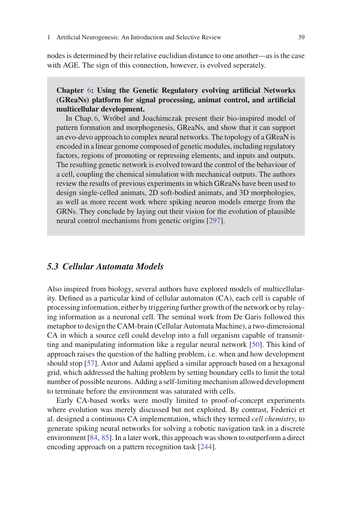nodes is determined by their relative euclidian distance to one another—as is the case with AGE. The sign of this connection, however, is evolved seperately.

# **Chapter** 6**: Using the Genetic Regulatory evolving artificial Networks (GReaNs) platform for signal processing, animat control, and artificial multicellular development.**

In Chap. 6, Wróbel and Joachimczak present their bio-inspired model of pattern formation and morphogenesis, GReaNs, and show that it can support an evo-devo approach to complex neural networks. The topology of a GReaN is encoded in a linear genome composed of genetic modules, including regulatory factors, regions of promoting or repressing elements, and inputs and outputs. The resulting genetic network is evolved toward the control of the behaviour of a cell, coupling the chemical simulation with mechanical outputs. The authors review the results of previous experiments in which GReaNs have been used to design single-celled animats, 2D soft-bodied animats, and 3D morphologies, as well as more recent work where spiking neuron models emerge from the GRNs. They conclude by laying out their vision for the evolution of plausible neural control mechanisms from genetic origins [297].

# *5.3 Cellular Automata Models*

Also inspired from biology, several authors have explored models of multicellularity. Defined as a particular kind of cellular automaton (CA), each cell is capable of processing information, either by triggering further growth of the network or by relaying information as a neuronal cell. The seminal work from De Garis followed this metaphor to design the CAM-brain (Cellular Automata Machine), a two-dimensional CA in which a source cell could develop into a full organism capable of transmitting and manipulating information like a regular neural network [50]. This kind of approach raises the question of the halting problem, i.e. when and how development should stop [57]. Astor and Adami applied a similar approach based on a hexagonal grid, which addressed the halting problem by setting boundary cells to limit the total number of possible neurons. Adding a self-limiting mechanism allowed development to terminate before the environment was saturated with cells.

Early CA-based works were mostly limited to proof-of-concept experiments where evolution was merely discussed but not exploited. By contrast, Federici et al. designed a continuous CA implementation, which they termed *cell chemistry*, to generate spiking neural networks for solving a robotic navigation task in a discrete environment [84, 85]. In a later work, this approach was shown to outperform a direct encoding approach on a pattern recognition task [244].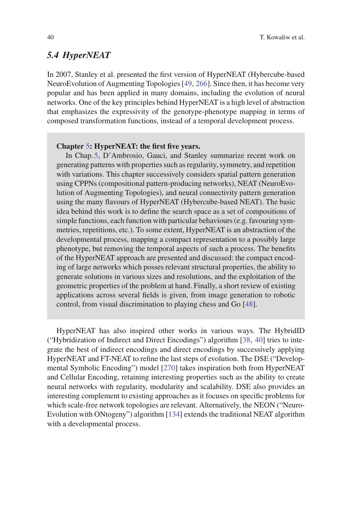# *5.4 HyperNEAT*

In 2007, Stanley et al. presented the first version of HyperNEAT (Hybercube-based NeuroEvolution of Augmenting Topologies [49, 266]. Since then, it has become very popular and has been applied in many domains, including the evolution of neural networks. One of the key principles behind HyperNEAT is a high level of abstraction that emphasizes the expressivity of the genotype-phenotype mapping in terms of composed transformation functions, instead of a temporal development process.

### **Chapter** 5**: HyperNEAT: the first five years.**

In Chap. 5, D'Ambrosio, Gauci, and Stanley summarize recent work on generating patterns with properties such as regularity, symmetry, and repetition with variations. This chapter successively considers spatial pattern generation using CPPNs (compositional pattern-producing networks), NEAT (NeuroEvolution of Augmenting Topologies), and neural connectivity pattern generation using the many flavours of HyperNEAT (Hybercube-based NEAT). The basic idea behind this work is to define the search space as a set of compositions of simple functions, each function with particular behaviours (e.g. favouring symmetries, repetitions, etc.). To some extent, HyperNEAT is an abstraction of the developmental process, mapping a compact representation to a possibly large phenotype, but removing the temporal aspects of such a process. The benefits of the HyperNEAT approach are presented and discussed: the compact encoding of large networks which posses relevant structural properties, the ability to generate solutions in various sizes and resolutions, and the exploitation of the geometric properties of the problem at hand. Finally, a short review of existing applications across several fields is given, from image generation to robotic control, from visual discrimination to playing chess and Go [48].

HyperNEAT has also inspired other works in various ways. The HybridID ("Hybridization of Indirect and Direct Encodings") algorithm [38, 40] tries to integrate the best of indirect encodings and direct encodings by successively applying HyperNEAT and FT-NEAT to refine the last steps of evolution. The DSE ("Developmental Symbolic Encoding") model [270] takes inspiration both from HyperNEAT and Cellular Encoding, retaining interesting properties such as the ability to create neural networks with regularity, modularity and scalability. DSE also provides an interesting complement to existing approaches as it focuses on specific problems for which scale-free network topologies are relevant. Alternatively, the NEON ("Neuro-Evolution with ONtogeny") algorithm [134] extends the traditional NEAT algorithm with a developmental process.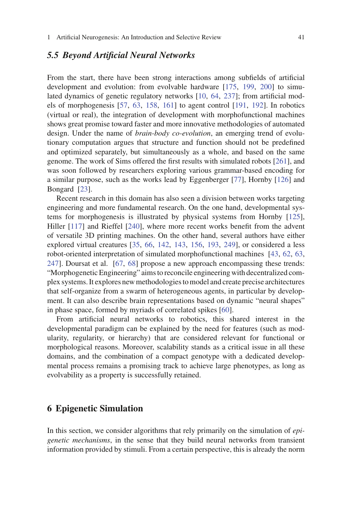# *5.5 Beyond Artificial Neural Networks*

From the start, there have been strong interactions among subfields of artificial development and evolution: from evolvable hardware [175, 199, 200] to simulated dynamics of genetic regulatory networks [10, 64, 237]; from artificial models of morphogenesis [57, 63, 158, 161] to agent control [191, 192]. In robotics (virtual or real), the integration of development with morphofunctional machines shows great promise toward faster and more innovative methodologies of automated design. Under the name of *brain-body co-evolution*, an emerging trend of evolutionary computation argues that structure and function should not be predefined and optimized separately, but simultaneously as a whole, and based on the same genome. The work of Sims offered the first results with simulated robots [261], and was soon followed by researchers exploring various grammar-based encoding for a similar purpose, such as the works lead by Eggenberger [77], Hornby [126] and Bongard [23].

Recent research in this domain has also seen a division between works targeting engineering and more fundamental research. On the one hand, developmental systems for morphogenesis is illustrated by physical systems from Hornby [125], Hiller [117] and Rieffel [240], where more recent works benefit from the advent of versatile 3D printing machines. On the other hand, several authors have either explored virtual creatures [35, 66, 142, 143, 156, 193, 249], or considered a less robot-oriented interpretation of simulated morphofunctional machines [43, 62, 63, 247]. Doursat et al. [67, 68] propose a new approach encompassing these trends: "Morphogenetic Engineering" aims to reconcile engineering with decentralized complex systems. It explores new methodologies to model and create precise architectures that self-organize from a swarm of heterogeneous agents, in particular by development. It can also describe brain representations based on dynamic "neural shapes" in phase space, formed by myriads of correlated spikes [60].

From artificial neural networks to robotics, this shared interest in the developmental paradigm can be explained by the need for features (such as modularity, regularity, or hierarchy) that are considered relevant for functional or morphological reasons. Moreover, scalability stands as a critical issue in all these domains, and the combination of a compact genotype with a dedicated developmental process remains a promising track to achieve large phenotypes, as long as evolvability as a property is successfully retained.

# **6 Epigenetic Simulation**

In this section, we consider algorithms that rely primarily on the simulation of *epigenetic mechanisms*, in the sense that they build neural networks from transient information provided by stimuli. From a certain perspective, this is already the norm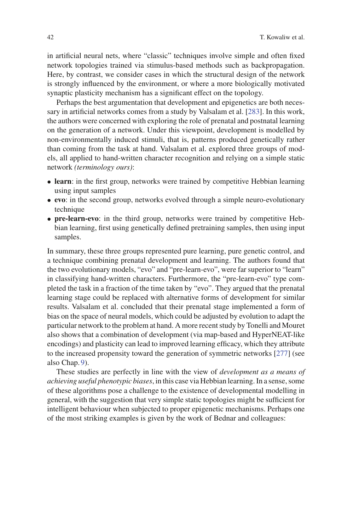in artificial neural nets, where "classic" techniques involve simple and often fixed network topologies trained via stimulus-based methods such as backpropagation. Here, by contrast, we consider cases in which the structural design of the network is strongly influenced by the environment, or where a more biologically motivated synaptic plasticity mechanism has a significant effect on the topology.

Perhaps the best argumentation that development and epigenetics are both necessary in artificial networks comes from a study by Valsalam et al. [283]. In this work, the authors were concerned with exploring the role of prenatal and postnatal learning on the generation of a network. Under this viewpoint, development is modelled by non-environmentally induced stimuli, that is, patterns produced genetically rather than coming from the task at hand. Valsalam et al. explored three groups of models, all applied to hand-written character recognition and relying on a simple static network *(terminology ours)*:

- **learn**: in the first group, networks were trained by competitive Hebbian learning using input samples
- **evo**: in the second group, networks evolved through a simple neuro-evolutionary technique
- **pre-learn-evo**: in the third group, networks were trained by competitive Hebbian learning, first using genetically defined pretraining samples, then using input samples.

In summary, these three groups represented pure learning, pure genetic control, and a technique combining prenatal development and learning. The authors found that the two evolutionary models, "evo" and "pre-learn-evo", were far superior to "learn" in classifying hand-written characters. Furthermore, the "pre-learn-evo" type completed the task in a fraction of the time taken by "evo". They argued that the prenatal learning stage could be replaced with alternative forms of development for similar results. Valsalam et al. concluded that their prenatal stage implemented a form of bias on the space of neural models, which could be adjusted by evolution to adapt the particular network to the problem at hand. A more recent study by Tonelli and Mouret also shows that a combination of development (via map-based and HyperNEAT-like encodings) and plasticity can lead to improved learning efficacy, which they attribute to the increased propensity toward the generation of symmetric networks [277] (see also Chap. 9).

These studies are perfectly in line with the view of *development as a means of achieving useful phenotypic biases*, in this case via Hebbian learning. In a sense, some of these algorithms pose a challenge to the existence of developmental modelling in general, with the suggestion that very simple static topologies might be sufficient for intelligent behaviour when subjected to proper epigenetic mechanisms. Perhaps one of the most striking examples is given by the work of Bednar and colleagues: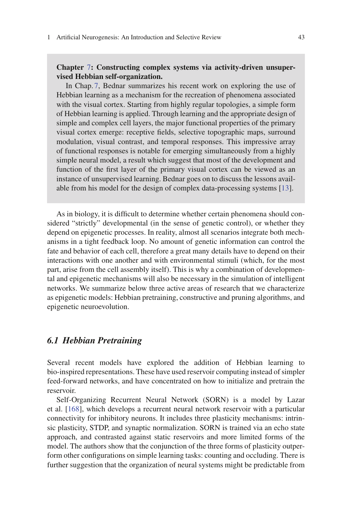# **Chapter** 7**: Constructing complex systems via activity-driven unsupervised Hebbian self-organization.**

In Chap. 7, Bednar summarizes his recent work on exploring the use of Hebbian learning as a mechanism for the recreation of phenomena associated with the visual cortex. Starting from highly regular topologies, a simple form of Hebbian learning is applied. Through learning and the appropriate design of simple and complex cell layers, the major functional properties of the primary visual cortex emerge: receptive fields, selective topographic maps, surround modulation, visual contrast, and temporal responses. This impressive array of functional responses is notable for emerging simultaneously from a highly simple neural model, a result which suggest that most of the development and function of the first layer of the primary visual cortex can be viewed as an instance of unsupervised learning. Bednar goes on to discuss the lessons available from his model for the design of complex data-processing systems [13].

As in biology, it is difficult to determine whether certain phenomena should considered "strictly" developmental (in the sense of genetic control), or whether they depend on epigenetic processes. In reality, almost all scenarios integrate both mechanisms in a tight feedback loop. No amount of genetic information can control the fate and behavior of each cell, therefore a great many details have to depend on their interactions with one another and with environmental stimuli (which, for the most part, arise from the cell assembly itself). This is why a combination of developmental and epigenetic mechanisms will also be necessary in the simulation of intelligent networks. We summarize below three active areas of research that we characterize as epigenetic models: Hebbian pretraining, constructive and pruning algorithms, and epigenetic neuroevolution.

# *6.1 Hebbian Pretraining*

Several recent models have explored the addition of Hebbian learning to bio-inspired representations. These have used reservoir computing instead of simpler feed-forward networks, and have concentrated on how to initialize and pretrain the reservoir.

Self-Organizing Recurrent Neural Network (SORN) is a model by Lazar et al. [168], which develops a recurrent neural network reservoir with a particular connectivity for inhibitory neurons. It includes three plasticity mechanisms: intrinsic plasticity, STDP, and synaptic normalization. SORN is trained via an echo state approach, and contrasted against static reservoirs and more limited forms of the model. The authors show that the conjunction of the three forms of plasticity outperform other configurations on simple learning tasks: counting and occluding. There is further suggestion that the organization of neural systems might be predictable from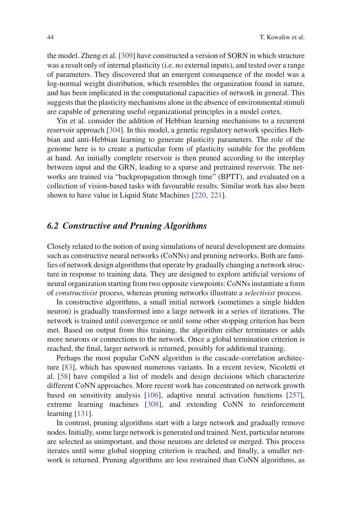the model. Zheng et al. [309] have constructed a version of SORN in which structure was a result only of internal plasticity (i.e. no external inputs), and tested over a range of parameters. They discovered that an emergent consequence of the model was a log-normal weight distribution, which resembles the organization found in nature, and has been implicated in the computational capacities of network in general. This suggests that the plasticity mechanisms alone in the absence of environmental stimuli are capable of generating useful organizational principles in a model cortex.

Yin et al. consider the addition of Hebbian learning mechanisms to a recurrent reservoir approach [304]. In this model, a genetic regulatory network specifies Hebbian and anti-Hebbian learning to generate plasticity parameters. The role of the genome here is to create a particular form of plasticity suitable for the problem at hand. An initially complete reservoir is then pruned according to the interplay between input and the GRN, leading to a sparse and pretrained reservoir. The networks are trained via "backpropagation through time" (BPTT), and evaluated on a collection of vision-based tasks with favourable results. Similar work has also been shown to have value in Liquid State Machines [220, 221].

# *6.2 Constructive and Pruning Algorithms*

Closely related to the notion of using simulations of neural development are domains such as constructive neural networks (CoNNs) and pruning networks. Both are families of network design algorithms that operate by gradually changing a network structure in response to training data. They are designed to explore artificial versions of neural organization starting from two opposite viewpoints: CoNNs instantiate a form of *constructivist* process, whereas pruning networks illustrate a *selectivist* process.

In constructive algorithms, a small initial network (sometimes a single hidden neuron) is gradually transformed into a large network in a series of iterations. The network is trained until convergence or until some other stopping criterion has been met. Based on output from this training, the algorithm either terminates or adds more neurons or connections to the network. Once a global termination criterion is reached, the final, larger network is returned, possibly for additional training.

Perhaps the most popular CoNN algorithm is the cascade-correlation architecture [83], which has spawned numerous variants. In a recent review, Nicoletti et al. [58] have compiled a list of models and design decisions which characterize different CoNN approaches. More recent work has concentrated on network growth based on sensitivity analysis [106], adaptive neural activation functions [257], extreme learning machines [308], and extending CoNN to reinforcement learning [131].

In contrast, pruning algorithms start with a large network and gradually remove nodes. Initially, some large network is generated and trained. Next, particular neurons are selected as unimportant, and those neurons are deleted or merged. This process iterates until some global stopping criterion is reached, and finally, a smaller network is returned. Pruning algorithms are less restrained than CoNN algorithms, as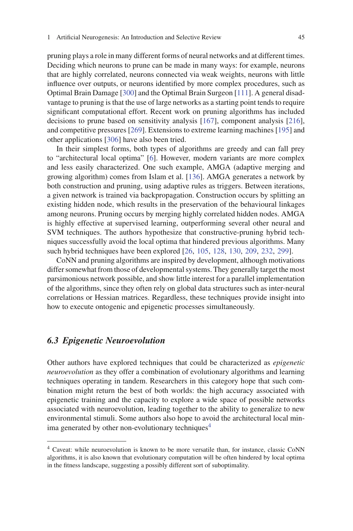pruning plays a role in many different forms of neural networks and at different times. Deciding which neurons to prune can be made in many ways: for example, neurons that are highly correlated, neurons connected via weak weights, neurons with little influence over outputs, or neurons identified by more complex procedures, such as Optimal Brain Damage [300] and the Optimal Brain Surgeon [111]. A general disadvantage to pruning is that the use of large networks as a starting point tends to require significant computational effort. Recent work on pruning algorithms has included decisions to prune based on sensitivity analysis [167], component analysis [216], and competitive pressures [269]. Extensions to extreme learning machines [195] and other applications [306] have also been tried.

In their simplest forms, both types of algorithms are greedy and can fall prey to "architectural local optima" [6]. However, modern variants are more complex and less easily characterized. One such example, AMGA (adaptive merging and growing algorithm) comes from Islam et al. [136]. AMGA generates a network by both construction and pruning, using adaptive rules as triggers. Between iterations, a given network is trained via backpropagation. Construction occurs by splitting an existing hidden node, which results in the preservation of the behavioural linkages among neurons. Pruning occurs by merging highly correlated hidden nodes. AMGA is highly effective at supervised learning, outperforming several other neural and SVM techniques. The authors hypothesize that constructive-pruning hybrid techniques successfully avoid the local optima that hindered previous algorithms. Many such hybrid techniques have been explored [26, 105, 128, 130, 209, 232, 299].

CoNN and pruning algorithms are inspired by development, although motivations differ somewhat from those of developmental systems. They generally target the most parsimonious network possible, and show little interest for a parallel implementation of the algorithms, since they often rely on global data structures such as inter-neural correlations or Hessian matrices. Regardless, these techniques provide insight into how to execute ontogenic and epigenetic processes simultaneously.

# *6.3 Epigenetic Neuroevolution*

Other authors have explored techniques that could be characterized as *epigenetic neuroevolution* as they offer a combination of evolutionary algorithms and learning techniques operating in tandem. Researchers in this category hope that such combination might return the best of both worlds: the high accuracy associated with epigenetic training and the capacity to explore a wide space of possible networks associated with neuroevolution, leading together to the ability to generalize to new environmental stimuli. Some authors also hope to avoid the architectural local minima generated by other non-evolutionary techniques<sup>4</sup>

<sup>&</sup>lt;sup>4</sup> Caveat: while neuroevolution is known to be more versatile than, for instance, classic CoNN algorithms, it is also known that evolutionary computation will be often hindered by local optima in the fitness landscape, suggesting a possibly different sort of suboptimality.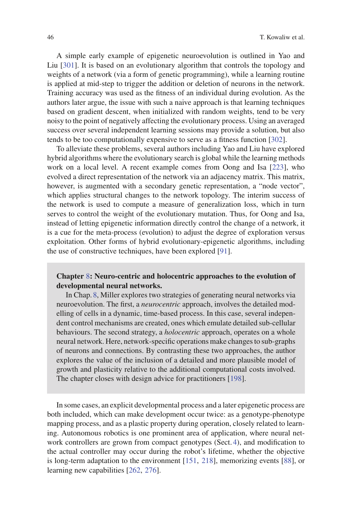A simple early example of epigenetic neuroevolution is outlined in Yao and Liu [301]. It is based on an evolutionary algorithm that controls the topology and weights of a network (via a form of genetic programming), while a learning routine is applied at mid-step to trigger the addition or deletion of neurons in the network. Training accuracy was used as the fitness of an individual during evolution. As the authors later argue, the issue with such a naive approach is that learning techniques based on gradient descent, when initialized with random weights, tend to be very noisy to the point of negatively affecting the evolutionary process. Using an averaged success over several independent learning sessions may provide a solution, but also tends to be too computationally expensive to serve as a fitness function [302].

To alleviate these problems, several authors including Yao and Liu have explored hybrid algorithms where the evolutionary search is global while the learning methods work on a local level. A recent example comes from Oong and Isa [223], who evolved a direct representation of the network via an adjacency matrix. This matrix, however, is augmented with a secondary genetic representation, a "node vector", which applies structural changes to the network topology. The interim success of the network is used to compute a measure of generalization loss, which in turn serves to control the weight of the evolutionary mutation. Thus, for Oong and Isa, instead of letting epigenetic information directly control the change of a network, it is a cue for the meta-process (evolution) to adjust the degree of exploration versus exploitation. Other forms of hybrid evolutionary-epigenetic algorithms, including the use of constructive techniques, have been explored [91].

# **Chapter** 8**: Neuro-centric and holocentric approaches to the evolution of developmental neural networks.**

In Chap. 8, Miller explores two strategies of generating neural networks via neuroevolution. The first, a *neurocentric* approach, involves the detailed modelling of cells in a dynamic, time-based process. In this case, several independent control mechanisms are created, ones which emulate detailed sub-cellular behaviours. The second strategy, a *holocentric* approach, operates on a whole neural network. Here, network-specific operations make changes to sub-graphs of neurons and connections. By contrasting these two approaches, the author explores the value of the inclusion of a detailed and more plausible model of growth and plasticity relative to the additional computational costs involved. The chapter closes with design advice for practitioners [198].

In some cases, an explicit developmental process and a later epigenetic process are both included, which can make development occur twice: as a genotype-phenotype mapping process, and as a plastic property during operation, closely related to learning. Autonomous robotics is one prominent area of application, where neural network controllers are grown from compact genotypes (Sect. 4), and modification to the actual controller may occur during the robot's lifetime, whether the objective is long-term adaptation to the environment [151, 218], memorizing events [88], or learning new capabilities [262, 276].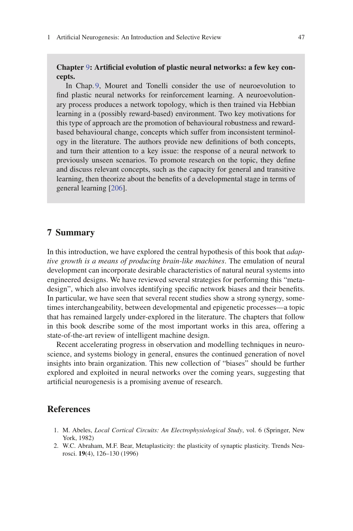# **Chapter** 9**: Artificial evolution of plastic neural networks: a few key concepts.**

In Chap. 9, Mouret and Tonelli consider the use of neuroevolution to find plastic neural networks for reinforcement learning. A neuroevolutionary process produces a network topology, which is then trained via Hebbian learning in a (possibly reward-based) environment. Two key motivations for this type of approach are the promotion of behavioural robustness and rewardbased behavioural change, concepts which suffer from inconsistent terminology in the literature. The authors provide new definitions of both concepts, and turn their attention to a key issue: the response of a neural network to previously unseen scenarios. To promote research on the topic, they define and discuss relevant concepts, such as the capacity for general and transitive learning, then theorize about the benefits of a developmental stage in terms of general learning [206].

# **7 Summary**

In this introduction, we have explored the central hypothesis of this book that *adaptive growth is a means of producing brain-like machines*. The emulation of neural development can incorporate desirable characteristics of natural neural systems into engineered designs. We have reviewed several strategies for performing this "metadesign", which also involves identifying specific network biases and their benefits. In particular, we have seen that several recent studies show a strong synergy, sometimes interchangeability, between developmental and epigenetic processes—a topic that has remained largely under-explored in the literature. The chapters that follow in this book describe some of the most important works in this area, offering a state-of-the-art review of intelligent machine design.

Recent accelerating progress in observation and modelling techniques in neuroscience, and systems biology in general, ensures the continued generation of novel insights into brain organization. This new collection of "biases" should be further explored and exploited in neural networks over the coming years, suggesting that artificial neurogenesis is a promising avenue of research.

# **References**

- 1. M. Abeles, *Local Cortical Circuits: An Electrophysiological Study*, vol. 6 (Springer, New York, 1982)
- 2. W.C. Abraham, M.F. Bear, Metaplasticity: the plasticity of synaptic plasticity. Trends Neurosci. **19**(4), 126–130 (1996)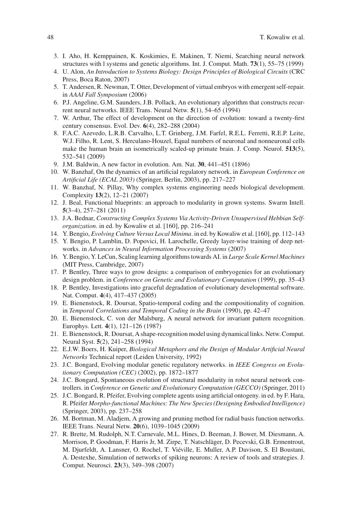- 3. I. Aho, H. Kemppainen, K. Koskimies, E. Makinen, T. Niemi, Searching neural network structures with l systems and genetic algorithms. Int. J. Comput. Math. **73**(1), 55–75 (1999)
- 4. U. Alon, *An Introduction to Systems Biology: Design Principles of Biological Circuits* (CRC Press, Boca Raton, 2007)
- 5. T. Andersen, R. Newman, T. Otter, Development of virtual embryos with emergent self-repair. in *AAAI Fall Symposium* (2006)
- 6. P.J. Angeline, G.M. Saunders, J.B. Pollack, An evolutionary algorithm that constructs recurrent neural networks. IEEE Trans. Neural Netw. **5**(1), 54–65 (1994)
- 7. W. Arthur, The effect of development on the direction of evolution: toward a twenty-first century consensus. Evol. Dev. **6**(4), 282–288 (2004)
- 8. F.A.C. Azevedo, L.R.B. Carvalho, L.T. Grinberg, J.M. Farfel, R.E.L. Ferretti, R.E.P. Leite, W.J. Filho, R. Lent, S. Herculano-Houzel, Equal numbers of neuronal and nonneuronal cells make the human brain an isometrically scaled-up primate brain. J. Comp. Neurol. **513**(5), 532–541 (2009)
- 9. J.M. Baldwin, A new factor in evolution. Am. Nat. **30**, 441–451 (1896)
- 10. W. Banzhaf, On the dynamics of an artificial regulatory network. in *European Conference on Artificial Life (ECAL 2003)* (Springer, Berlin, 2003), pp. 217–227
- 11. W. Banzhaf, N. Pillay, Why complex systems engineering needs biological development. Complexity **13**(2), 12–21 (2007)
- 12. J. Beal, Functional blueprints: an approach to modularity in grown systems. Swarm Intell. **5**(3–4), 257–281 (2011)
- 13. J.A. Bednar, *Constructing Complex Systems Via Activity-Driven Unsupervised Hebbian Selforganization*. in ed. by Kowaliw et al. [160], pp. 216–241
- 14. Y. Bengio, *Evolving Culture Versus Local Minima*. in ed. by Kowaliw et al. [160], pp. 112–143
- 15. Y. Bengio, P. Lamblin, D. Popovici, H. Larochelle, Greedy layer-wise training of deep networks. in *Advances in Neural Information Processing Systems* (2007)
- 16. Y. Bengio, Y. LeCun, Scaling learning algorithms towards AI. in *Large Scale Kernel Machines* (MIT Press, Cambridge, 2007)
- 17. P. Bentley, Three ways to grow designs: a comparison of embryogenies for an evolutionary design problem. in *Conference on Genetic and Evolutionary Computation* (1999), pp. 35–43
- 18. P. Bentley, Investigations into graceful degradation of evolutionary developmental software. Nat. Comput. **4**(4), 417–437 (2005)
- 19. E. Bienenstock, R. Doursat, Spatio-temporal coding and the compositionality of cognition. in *Temporal Correlations and Temporal Coding in the Brain* (1990), pp. 42–47
- 20. E. Bienenstock, C. von der Malsburg, A neural network for invariant pattern recognition. Europhys. Lett. **4**(1), 121–126 (1987)
- 21. E. Bienenstock, R. Doursat, A shape-recognition model using dynamical links. Netw. Comput. Neural Syst. **5**(2), 241–258 (1994)
- 22. E.J.W. Boers, H. Kuiper, *Biological Metaphors and the Design of Modular Artificial Neural Networks* Technical report (Leiden University, 1992)
- 23. J.C. Bongard, Evolving modular genetic regulatory networks. in *IEEE Congress on Evolutionary Computation (CEC)* (2002), pp. 1872–1877
- 24. J.C. Bongard, Spontaneous evolution of structural modularity in robot neural network controllers. in *Conference on Genetic and Evolutionary Computation (GECCO)* (Springer, 2011)
- 25. J.C. Bongard, R. Pfeifer, Evolving complete agents using artificial ontogeny. in ed. by F. Hara, R. Pfeifer *Morpho-functional Machines: The New Species (Designing Embodied Intelligence)* (Springer, 2003), pp. 237–258
- 26. M. Bortman, M. Aladjem, A growing and pruning method for radial basis function networks. IEEE Trans. Neural Netw. **20**(6), 1039–1045 (2009)
- 27. R. Brette, M. Rudolph, N.T. Carnevale, M.L. Hines, D. Beeman, J. Bower, M. Diesmann, A. Morrison, P. Goodman, F. Harris Jr, M. Zirpe, T. Natschläger, D. Pecevski, G.B. Ermentrout, M. Djurfeldt, A. Lansner, O. Rochel, T. Viéville, E. Muller, A.P. Davison, S. El Boustani, A. Destexhe, Simulation of networks of spiking neurons: A review of tools and strategies. J. Comput. Neurosci. **23**(3), 349–398 (2007)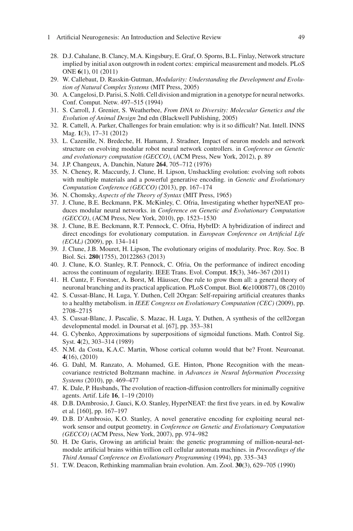- 1 Artificial Neurogenesis: An Introduction and Selective Review 49
- 28. D.J. Cahalane, B. Clancy, M.A. Kingsbury, E. Graf, O. Sporns, B.L. Finlay, Network structure implied by initial axon outgrowth in rodent cortex: empirical measurement and models. PLoS ONE **6**(1), 01 (2011)
- 29. W. Callebaut, D. Rasskin-Gutman, *Modularity: Understanding the Development and Evolution of Natural Complex Systems* (MIT Press, 2005)
- 30. A. Cangelosi, D. Parisi, S. Nolfi. Cell division and migration in a genotype for neural networks. Conf. Comput. Netw. 497–515 (1994)
- 31. S. Carroll, J. Grenier, S. Weatherbee, *From DNA to Diversity: Molecular Genetics and the Evolution of Animal Design* 2nd edn (Blackwell Publishing, 2005)
- 32. R. Cattell, A. Parker, Challenges for brain emulation: why is it so difficult? Nat. Intell. INNS Mag. **1**(3), 17–31 (2012)
- 33. L. Cazenille, N. Bredeche, H. Hamann, J. Stradner, Impact of neuron models and network structure on evolving modular robot neural network controllers. in *Conference on Genetic and evolutionary computation (GECCO)*, (ACM Press, New York, 2012), p. 89
- 34. J.P. Changeux, A. Danchin, Nature **264**, 705–712 (1976)
- 35. N. Cheney, R. Maccurdy, J. Clune, H. Lipson, Unshackling evolution: evolving soft robots with multiple materials and a powerful generative encoding. in *Genetic and Evolutionary Computation Conference (GECCO)* (2013), pp. 167–174
- 36. N. Chomsky, *Aspects of the Theory of Syntax* (MIT Press, 1965)
- 37. J. Clune, B.E. Beckmann, P.K. McKinley, C. Ofria, Investigating whether hyperNEAT produces modular neural networks. in *Conference on Genetic and Evolutionary Computation (GECCO)*, (ACM Press, New York, 2010), pp. 1523–1530
- 38. J. Clune, B.E. Beckmann, R.T. Pennock, C. Ofria, HybrID: A hybridization of indirect and direct encodings for evolutionary computation. in *European Conference on Artificial Life (ECAL)* (2009), pp. 134–141
- 39. J. Clune, J.B. Mouret, H. Lipson, The evolutionary origins of modularity. Proc. Roy. Soc. B Biol. Sci. **280**(1755), 20122863 (2013)
- 40. J. Clune, K.O. Stanley, R.T. Pennock, C. Ofria, On the performance of indirect encoding across the continuum of regularity. IEEE Trans. Evol. Comput. **15**(3), 346–367 (2011)
- 41. H. Cuntz, F. Forstner, A. Borst, M. Häusser, One rule to grow them all: a general theory of neuronal branching and its practical application. PLoS Comput. Biol. **6**(e1000877), 08 (2010)
- 42. S. Cussat-Blanc, H. Luga, Y. Duthen, Cell 2Organ: Self-repairing artificial creatures thanks to a healthy metabolism. in *IEEE Congress on Evolutionary Computation (CEC)* (2009), pp. 2708–2715
- 43. S. Cussat-Blanc, J. Pascalie, S. Mazac, H. Luga, Y. Duthen, A synthesis of the cell2organ developmental model. in Doursat et al. [67], pp. 353–381
- 44. G. Cybenko, Approximations by superpositions of sigmoidal functions. Math. Control Sig. Syst. **4**(2), 303–314 (1989)
- 45. N.M. da Costa, K.A.C. Martin, Whose cortical column would that be? Front. Neuroanat. **4**(16), (2010)
- 46. G. Dahl, M. Ranzato, A. Mohamed, G.E. Hinton, Phone Recognition with the meancovariance restricted Boltzmann machine. in *Advances in Neural Information Processing Systems* (2010), pp. 469–477
- 47. K. Dale, P. Husbands, The evolution of reaction-diffusion controllers for minimally cognitive agents. Artif. Life **16**, 1–19 (2010)
- 48. D.B. DAmbrosio, J. Gauci, K.O. Stanley, HyperNEAT: the first five years. in ed. by Kowaliw et al. [160], pp. 167–197
- 49. D.B. D'Ambrosio, K.O. Stanley, A novel generative encoding for exploiting neural network sensor and output geometry. in *Conference on Genetic and Evolutionary Computation (GECCO)* (ACM Press, New York, 2007), pp. 974–982
- 50. H. De Garis, Growing an artificial brain: the genetic programming of million-neural-netmodule artificial brains within trillion cell cellular automata machines. in *Proceedings of the Third Annual Conference on Evolutionary Programming* (1994), pp. 335–343
- 51. T.W. Deacon, Rethinking mammalian brain evolution. Am. Zool. **30**(3), 629–705 (1990)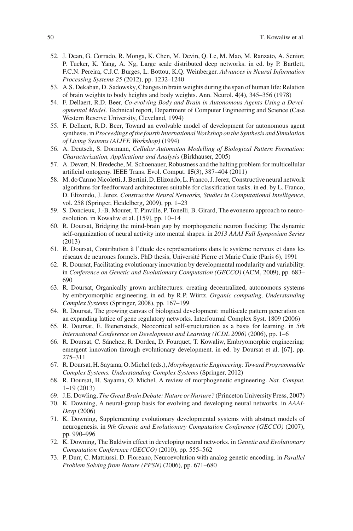- 52. J. Dean, G. Corrado, R. Monga, K. Chen, M. Devin, Q. Le, M. Mao, M. Ranzato, A. Senior, P. Tucker, K. Yang, A. Ng, Large scale distributed deep networks. in ed. by P. Bartlett, F.C.N. Pereira, C.J.C. Burges, L. Bottou, K.Q. Weinberger. *Advances in Neural Information Processing Systems 25* (2012), pp. 1232–1240
- 53. A.S. Dekaban, D. Sadowsky, Changes in brain weights during the span of human life: Relation of brain weights to body heights and body weights. Ann. Neurol. **4**(4), 345–356 (1978)
- 54. F. Dellaert, R.D. Beer, *Co-evolving Body and Brain in Autonomous Agents Using a Developmental Model*. Technical report, Department of Computer Engineering and Science (Case Western Reserve University, Cleveland, 1994)
- 55. F. Dellaert, R.D. Beer, Toward an evolvable model of development for autonomous agent synthesis. in*Proceedings of the fourth International Workshop on the Synthesis and Simulation of Living Systems (ALIFE Workshop)* (1994)
- 56. A. Deutsch, S. Dormann, *Cellular Automaton Modelling of Biological Pattern Formation: Characterization, Applications and Analysis* (Birkhauser, 2005)
- 57. A. Devert, N. Bredeche, M. Schoenauer, Robustness and the halting problem for multicellular artificial ontogeny. IEEE Trans. Evol. Comput. **15**(3), 387–404 (2011)
- 58. M. do Carmo Nicoletti, J. Bertini, D. Elizondo, L. Franco, J. Jerez, Constructive neural network algorithms for feedforward architectures suitable for classification tasks. in ed. by L. Franco, D. Elizondo, J. Jerez. *Constructive Neural Networks, Studies in Computational Intelligence*, vol. 258 (Springer, Heidelberg, 2009), pp. 1–23
- 59. S. Doncieux, J.-B. Mouret, T. Pinville, P. Tonelli, B. Girard, The evoneuro approach to neuroevolution. in Kowaliw et al. [159], pp. 10–14
- 60. R. Doursat, Bridging the mind-brain gap by morphogenetic neuron flocking: The dynamic self-organization of neural activity into mental shapes. in *2013 AAAI Fall Symposium Series* (2013)
- 61. R. Doursat, Contribution à l'étude des représentations dans le système nerveux et dans les réseaux de neurones formels. PhD thesis, Université Pierre et Marie Curie (Paris 6), 1991
- 62. R. Doursat, Facilitating evolutionary innovation by developmental modularity and variability. in *Conference on Genetic and Evolutionary Computation (GECCO)* (ACM, 2009), pp. 683– 690
- 63. R. Doursat, Organically grown architectures: creating decentralized, autonomous systems by embryomorphic engineering. in ed. by R.P. Würtz. *Organic computing, Understanding Complex Systems* (Springer, 2008), pp. 167–199
- 64. R. Doursat, The growing canvas of biological development: multiscale pattern generation on an expanding lattice of gene regulatory networks. InterJournal Complex Syst. 1809 (2006)
- 65. R. Doursat, E. Bienenstock, Neocortical self-structuration as a basis for learning. in *5th International Conference on Development and Learning (ICDL 2006)* (2006), pp. 1–6
- 66. R. Doursat, C. Sánchez, R. Dordea, D. Fourquet, T. Kowaliw, Embryomorphic engineering: emergent innovation through evolutionary development. in ed. by Doursat et al. [67], pp. 275–311
- 67. R. Doursat, H. Sayama, O. Michel (eds.), *Morphogenetic Engineering: Toward Programmable Complex Systems. Understanding Complex Systems* (Springer, 2012)
- 68. R. Doursat, H. Sayama, O. Michel, A review of morphogenetic engineering. *Nat. Comput.* 1–19 (2013)
- 69. J.E. Dowling, *The Great Brain Debate: Nature or Nurture?* (Princeton University Press, 2007)
- 70. K. Downing, A neural-group basis for evolving and developing neural networks. in *AAAI-Devp* (2006)
- 71. K. Downing, Supplementing evolutionary developmental systems with abstract models of neurogenesis. in *9th Genetic and Evolutionary Computation Conference (GECCO)* (2007), pp. 990–996
- 72. K. Downing, The Baldwin effect in developing neural networks. in *Genetic and Evolutionary Computation Conference (GECCO)* (2010), pp. 555–562
- 73. P. Durr, C. Mattiussi, D. Floreano, Neuroevolution with analog genetic encoding. in *Parallel Problem Solving from Nature (PPSN)* (2006), pp. 671–680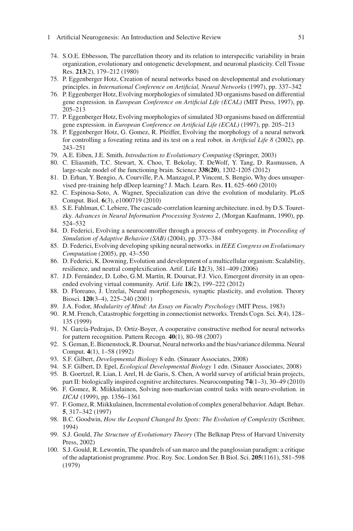- 1 Artificial Neurogenesis: An Introduction and Selective Review 51
- 74. S.O.E. Ebbesson, The parcellation theory and its relation to interspecific variability in brain organization, evolutionary and ontogenetic development, and neuronal plasticity. Cell Tissue Res. **213**(2), 179–212 (1980)
- 75. P. Eggenberger Hotz, Creation of neural networks based on developmental and evolutionary principles. in *International Conference on Artificial, Neural Networks* (1997), pp. 337–342
- 76. P. Eggenberger Hotz, Evolving morphologies of simulated 3D organisms based on differential gene expression. in *European Conference on Artificial Life (ECAL)* (MIT Press, 1997), pp. 205–213
- 77. P. Eggenberger Hotz, Evolving morphologies of simulated 3D organisms based on differential gene expression. in *European Conference on Artificial Life (ECAL)* (1997), pp. 205–213
- 78. P. Eggenberger Hotz, G. Gomez, R. Pfeiffer, Evolving the morphology of a neural network for controlling a foveating retina and its test on a real robot. in *Artificial Life 8* (2002), pp. 243–251
- 79. A.E. Eiben, J.E. Smith, *Introduction to Evolutionary Computing* (Springer, 2003)
- 80. C. Eliasmith, T.C. Stewart, X. Choo, T. Bekolay, T. DeWolf, Y. Tang, D. Rasmussen, A large-scale model of the functioning brain. Science **338(20)**, 1202-1205 (2012)
- 81. D. Erhan, Y. Bengio, A. Courville, P.A. Manzagol, P. Vincent, S. Bengio, Why does unsupervised pre-training help dDeep learning? J. Mach. Learn. Res. **11**, 625–660 (2010)
- 82. C. Espinosa-Soto, A. Wagner, Specialization can drive the evolution of modularity. PLoS Comput. Biol. **6**(3), e1000719 (2010)
- 83. S.E. Fahlman, C. Lebiere, The cascade-correlation learning architecture. in ed. by D.S. Touretzky. *Advances in Neural Information Processing Systems 2*, (Morgan Kaufmann, 1990), pp. 524–532
- 84. D. Federici, Evolving a neurocontroller through a process of embryogeny. in *Proceeding of Simulation of Adaptive Behavior (SAB)* (2004), pp. 373–384
- 85. D. Federici, Evolving developing spiking neural networks. in *IEEE Congress on Evolutionary Computation* (2005), pp. 43–550
- 86. D. Federici, K. Downing, Evolution and development of a multicellular organism: Scalability, resilience, and neutral complexification. Artif. Life **12**(3), 381–409 (2006)
- 87. J.D. Fernández, D. Lobo, G.M. Martín, R. Doursat, F.J. Vico, Emergent diversity in an openended evolving virtual community. Artif. Life **18**(2), 199–222 (2012)
- 88. D. Floreano, J. Urzelai, Neural morphogenesis, synaptic plasticity, and evolution. Theory Biosci. **120**(3–4), 225–240 (2001)
- 89. J.A. Fodor, *Modularity of Mind: An Essay on Faculty Psychology* (MIT Press, 1983)
- 90. R.M. French, Catastrophic forgetting in connectionist networks. Trends Cogn. Sci. **3**(4), 128– 135 (1999)
- 91. N. García-Pedrajas, D. Ortiz-Boyer, A cooperative constructive method for neural networks for pattern recognition. Pattern Recogn. **40**(1), 80–98 (2007)
- 92. S. Geman, E. Bienenstock, R. Doursat, Neural networks and the bias/variance dilemma. Neural Comput. **4**(1), 1–58 (1992)
- 93. S.F. Gilbert, *Developmental Biology* 8 edn. (Sinauer Associates, 2008)
- 94. S.F. Gilbert, D. Epel, *Ecological Developmental Biology* 1 edn. (Sinauer Associates, 2008)
- 95. B. Goertzel, R. Lian, I. Arel, H. de Garis, S. Chen, A world survey of artificial brain projects, part II: biologically inspired cognitive architectures. Neurocomputing **74**(1–3), 30–49 (2010)
- 96. F. Gomez, R. Miikkulainen, Solving non-markovian control tasks with neuro-evolution. in *IJCAI* (1999), pp. 1356–1361
- 97. F. Gomez, R. Miikkulainen, Incremental evolution of complex general behavior. Adapt. Behav. **5**, 317–342 (1997)
- 98. B.C. Goodwin, *How the Leopard Changed Its Spots: The Evolution of Complexity* (Scribner, 1994)
- 99. S.J. Gould, *The Structure of Evolutionary Theory* (The Belknap Press of Harvard University Press, 2002)
- 100. S.J. Gould, R. Lewontin, The spandrels of san marco and the panglossian paradigm: a critique of the adaptationist programme. Proc. Roy. Soc. London Ser. B Biol. Sci. **205**(1161), 581–598 (1979)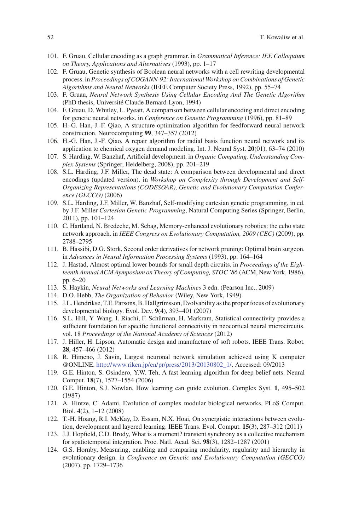- 101. F. Gruau, Cellular encoding as a graph grammar. in *Grammatical Inference: IEE Colloquium on Theory, Applications and Alternatives* (1993), pp. 1–17
- 102. F. Gruau, Genetic synthesis of Boolean neural networks with a cell rewriting developmental process. in *Proceedings of COGANN-92: International Workshop on Combinations of Genetic Algorithms and Neural Networks* (IEEE Computer Society Press, 1992), pp. 55–74
- 103. F. Gruau, *Neural Network Synthesis Using Cellular Encoding And The Genetic Algorithm* (PhD thesis, Université Claude Bernard-Lyon, 1994)
- 104. F. Gruau, D. Whitley, L. Pyeatt, A comparison between cellular encoding and direct encoding for genetic neural networks. in *Conference on Genetic Programming* (1996), pp. 81–89
- 105. H.-G. Han, J.-F. Qiao, A structure optimization algorithm for feedforward neural network construction. Neurocomputing **99**, 347–357 (2012)
- 106. H.-G. Han, J.-F. Qiao, A repair algorithm for radial basis function neural network and its application to chemical oxygen demand modeling. Int. J. Neural Syst. **20**(01), 63–74 (2010)
- 107. S. Harding, W. Banzhaf, Artificial development. in *Organic Computing, Understanding Complex Systems* (Springer, Heidelberg, 2008), pp. 201–219
- 108. S.L. Harding, J.F. Miller, The dead state: A comparison between developmental and direct encodings (updated version). in *Workshop on Complexity through Development and Self-Organizing Representations (CODESOAR), Genetic and Evolutionary Computation Conference (GECCO)* (2006)
- 109. S.L. Harding, J.F. Miller, W. Banzhaf, Self-modifying cartesian genetic programming, in ed. by J.F. Miller *Cartesian Genetic Programming*, Natural Computing Series (Springer, Berlin, 2011), pp. 101–124
- 110. C. Hartland, N. Bredeche, M. Sebag, Memory-enhanced evolutionary robotics: the echo state network approach. in *IEEE Congress on Evolutionary Computation, 2009 (CEC)* (2009), pp. 2788–2795
- 111. B. Hassibi, D.G. Stork, Second order derivatives for network pruning: Optimal brain surgeon. in *Advances in Neural Information Processing Systems* (1993), pp. 164–164
- 112. J. Hastad, Almost optimal lower bounds for small depth circuits. in *Proceedings of the Eighteenth Annual ACM Aymposium on Theory of Computing, STOC '86* (ACM, New York, 1986), pp. 6–20
- 113. S. Haykin, *Neural Networks and Learning Machines* 3 edn. (Pearson Inc., 2009)
- 114. D.O. Hebb, *The Organization of Behavior* (Wiley, New York, 1949)
- 115. J.L. Hendrikse, T.E. Parsons, B. Hallgrímsson, Evolvability as the proper focus of evolutionary developmental biology. Evol. Dev. **9**(4), 393–401 (2007)
- 116. S.L. Hill, Y. Wang, I. Riachi, F. Schürman, H. Markram, Statistical connectivity provides a sufficient foundation for specific functional connectivity in neocortical neural microcircuits. vol. 18 *Proceedings of the National Academy of Sciences* (2012)
- 117. J. Hiller, H. Lipson, Automatic design and manufacture of soft robots. IEEE Trans. Robot. **28**, 457–466 (2012)
- 118. R. Himeno, J. Savin, Largest neuronal network simulation achieved using K computer @ONLINE. http://www.riken.jp/en/pr/press/2013/20130802\_1/. Accessed: 09/2013
- 119. G.E. Hinton, S. Osindero, Y.W. Teh, A fast learning algorithm for deep belief nets. Neural Comput. **18**(7), 1527–1554 (2006)
- 120. G.E. Hinton, S.J. Nowlan, How learning can guide evolution. Complex Syst. **1**, 495–502 (1987)
- 121. A. Hintze, C. Adami, Evolution of complex modular biological networks. PLoS Comput. Biol. **4**(2), 1–12 (2008)
- 122. T.-H. Hoang, R.I. McKay, D. Essam, N.X. Hoai, On synergistic interactions between evolution, development and layered learning. IEEE Trans. Evol. Comput. **15**(3), 287–312 (2011)
- 123. J.J. Hopfield, C.D. Brody, What is a moment? transient synchrony as a collective mechanism for spatiotemporal integration. Proc. Natl. Acad. Sci. **98**(3), 1282–1287 (2001)
- 124. G.S. Hornby, Measuring, enabling and comparing modularity, regularity and hierarchy in evolutionary design. in *Conference on Genetic and Evolutionary Computation (GECCO)* (2007), pp. 1729–1736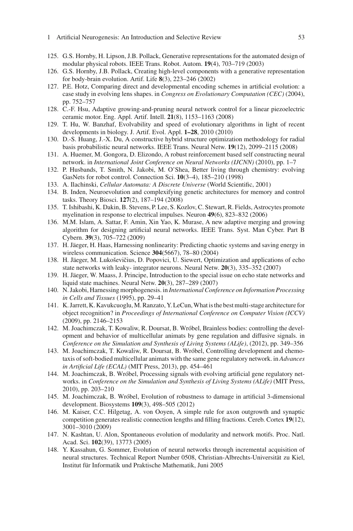- 1 Artificial Neurogenesis: An Introduction and Selective Review 53
- 125. G.S. Hornby, H. Lipson, J.B. Pollack, Generative representations for the automated design of modular physical robots. IEEE Trans. Robot. Autom. **19**(4), 703–719 (2003)
- 126. G.S. Hornby, J.B. Pollack, Creating high-level components with a generative representation for body-brain evolution. Artif. Life **8**(3), 223–246 (2002)
- 127. P.E. Hotz, Comparing direct and developmental encoding schemes in artificial evolution: a case study in evolving lens shapes. in *Congress on Evolutionary Computation (CEC)* (2004), pp. 752–757
- 128. C.-F. Hsu, Adaptive growing-and-pruning neural network control for a linear piezoelectric ceramic motor. Eng. Appl. Artif. Intell. **21**(8), 1153–1163 (2008)
- 129. T. Hu, W. Banzhaf, Evolvability and speed of evolutionary algorithms in light of recent developments in biology. J. Artif. Evol. Appl. **1–28**, 2010 (2010)
- 130. D.-S. Huang, J.-X. Du, A constructive hybrid structure optimization methodology for radial basis probabilistic neural networks. IEEE Trans. Neural Netw. **19**(12), 2099–2115 (2008)
- 131. A. Huemer, M. Gongora, D. Elizondo, A robust reinforcement based self constructing neural network. in *International Joint Conference on Neural Networks (IJCNN)* (2010), pp. 1–7
- 132. P. Husbands, T. Smith, N. Jakobi, M. O'Shea, Better living through chemistry: evolving GasNets for robot control. Connection Sci. **10**(3–4), 185–210 (1998)
- 133. A. Ilachinski, *Cellular Automata: A Discrete Universe* (World Scientific, 2001)
- 134. B. Inden, Neuroevolution and complexifying genetic architectures for memory and control tasks. Theory Biosci. **127**(2), 187–194 (2008)
- 135. T. Ishibashi, K. Dakin, B. Stevens, P. Lee, S. Kozlov, C. Stewart, R. Fields, Astrocytes promote myelination in response to electrical impulses. Neuron **49**(6), 823–832 (2006)
- 136. M.M. Islam, A. Sattar, F. Amin, Xin Yao, K. Murase, A new adaptive merging and growing algorithm for designing artificial neural networks. IEEE Trans. Syst. Man Cyber. Part B Cybern. **39**(3), 705–722 (2009)
- 137. H. Jäeger, H. Haas, Harnessing nonlinearity: Predicting chaotic systems and saving energy in wireless communication. Science **304**(5667), 78–80 (2004)
- 138. H. Jäeger, M. Lukoševičius, D. Popovici, U. Siewert, Optimization and applications of echo state networks with leaky- integrator neurons. Neural Netw. **20**(3), 335–352 (2007)
- 139. H. Jäeger, W. Maass, J. Principe, Introduction to the special issue on echo state networks and liquid state machines. Neural Netw. **20**(3), 287–289 (2007)
- 140. N. Jakobi, Harnessing morphogenesis. in *International Conference on Information Processing in Cells and Tissues* (1995), pp. 29–41
- 141. K. Jarrett, K. Kavukcuoglu, M. Ranzato, Y. LeCun, What is the best multi-stage architecture for object recognition? in *Proceedings of International Conference on Computer Vision (ICCV)* (2009), pp. 2146–2153
- 142. M. Joachimczak, T. Kowaliw, R. Doursat, B. Wróbel, Brainless bodies: controlling the development and behavior of multicellular animats by gene regulation and diffusive signals. in *Conference on the Simulation and Synthesis of Living Systems (ALife)*, (2012), pp. 349–356
- 143. M. Joachimczak, T. Kowaliw, R. Doursat, B. Wróbel, Controlling development and chemotaxis of soft-bodied multicellular animats with the same gene regulatory network. in *Advances in Artificial Life (ECAL)* (MIT Press, 2013), pp. 454–461
- 144. M. Joachimczak, B. Wróbel, Processing signals with evolving artificial gene regulatory networks. in *Conference on the Simulation and Synthesis of Living Systems (ALife)* (MIT Press, 2010), pp. 203–210
- 145. M. Joachimczak, B. Wróbel, Evolution of robustness to damage in artificial 3-dimensional development. Biosystems **109**(3), 498–505 (2012)
- 146. M. Kaiser, C.C. Hilgetag, A. von Ooyen, A simple rule for axon outgrowth and synaptic competition generates realistic connection lengths and filling fractions. Cereb. Cortex **19**(12), 3001–3010 (2009)
- 147. N. Kashtan, U. Alon, Spontaneous evolution of modularity and network motifs. Proc. Natl. Acad. Sci. **102**(39), 13773 (2005)
- 148. Y. Kassahun, G. Sommer, Evolution of neural networks through incremental acquisition of neural structures. Technical Report Number 0508, Christian-Albrechts-Universität zu Kiel, Institut für Informatik und Praktische Mathematik, Juni 2005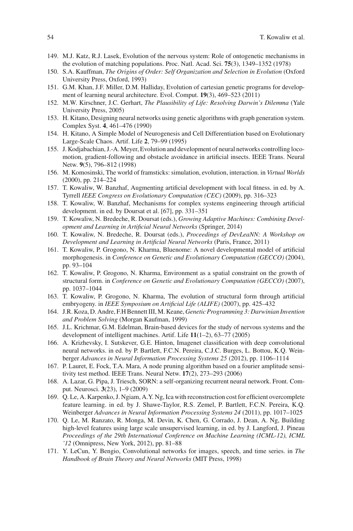- 149. M.J. Katz, R.J. Lasek, Evolution of the nervous system: Role of ontogenetic mechanisms in the evolution of matching populations. Proc. Natl. Acad. Sci. **75**(3), 1349–1352 (1978)
- 150. S.A. Kauffman, *The Origins of Order: Self Organization and Selection in Evolution* (Oxford University Press, Oxford, 1993)
- 151. G.M. Khan, J.F. Miller, D.M. Halliday, Evolution of cartesian genetic programs for development of learning neural architecture. Evol. Comput. **19**(3), 469–523 (2011)
- 152. M.W. Kirschner, J.C. Gerhart, *The Plausibility of Life: Resolving Darwin's Dilemma* (Yale University Press, 2005)
- 153. H. Kitano, Designing neural networks using genetic algorithms with graph generation system. Complex Syst. **4**, 461–476 (1990)
- 154. H. Kitano, A Simple Model of Neurogenesis and Cell Differentiation based on Evolutionary Large-Scale Chaos. Artif. Life **2**, 79–99 (1995)
- 155. J. Kodjabachian, J.-A. Meyer, Evolution and development of neural networks controlling locomotion, gradient-following and obstacle avoidance in artificial insects. IEEE Trans. Neural Netw. **9**(5), 796–812 (1998)
- 156. M. Komosinski, The world of framsticks: simulation, evolution, interaction. in *Virtual Worlds* (2000), pp. 214–224
- 157. T. Kowaliw, W. Banzhaf, Augmenting artificial development with local fitness. in ed. by A. Tyrrell *IEEE Congress on Evolutionary Computation (CEC)* (2009), pp. 316–323
- 158. T. Kowaliw, W. Banzhaf, Mechanisms for complex systems engineering through artificial development. in ed. by Doursat et al. [67], pp. 331–351
- 159. T. Kowaliw, N. Bredeche, R. Doursat (eds.), *Growing Adaptive Machines: Combining Development and Learning in Artificial Neural Networks* (Springer, 2014)
- 160. T. Kowaliw, N. Bredeche, R. Doursat (eds.), *Proceedings of DevLeaNN: A Workshop on Development and Learning in Artificial Neural Networks* (Paris, France, 2011)
- 161. T. Kowaliw, P. Grogono, N. Kharma, Bluenome: A novel developmental model of artificial morphogenesis. in *Conference on Genetic and Evolutionary Computation (GECCO)* (2004), pp. 93–104
- 162. T. Kowaliw, P. Grogono, N. Kharma, Environment as a spatial constraint on the growth of structural form. in *Conference on Genetic and Evolutionary Computation (GECCO)* (2007), pp. 1037–1044
- 163. T. Kowaliw, P. Grogono, N. Kharma, The evolution of structural form through artificial embryogeny. in *IEEE Symposium on Artificial Life (ALIFE)* (2007), pp. 425–432
- 164. J.R. Koza, D. Andre, F.H Bennett III, M. Keane, *Genetic Programming 3: Darwinian Invention and Problem Solving* (Morgan Kaufman, 1999)
- 165. J.L. Krichmar, G.M. Edelman, Brain-based devices for the study of nervous systems and the development of intelligent machines. Artif. Life **11**(1–2), 63–77 (2005)
- 166. A. Krizhevsky, I. Sutskever, G.E. Hinton, Imagenet classification with deep convolutional neural networks. in ed. by P. Bartlett, F.C.N. Pereira, C.J.C. Burges, L. Bottou, K.Q. Weinberger *Advances in Neural Information Processing Systems 25* (2012), pp. 1106–1114
- 167. P. Lauret, E. Fock, T.A. Mara, A node pruning algorithm based on a fourier amplitude sensitivity test method. IEEE Trans. Neural Netw. **17**(2), 273–293 (2006)
- 168. A. Lazar, G. Pipa, J. Triesch, SORN: a self-organizing recurrent neural network. Front. Comput. Neurosci. **3**(23), 1–9 (2009)
- 169. Q. Le, A. Karpenko, J. Ngiam, A.Y. Ng, Ica with reconstruction cost for efficient overcomplete feature learning. in ed. by J. Shawe-Taylor, R.S. Zemel, P. Bartlett, F.C.N. Pereira, K.Q. Weinberger *Advances in Neural Information Processing Systems 24* (2011), pp. 1017–1025
- 170. Q. Le, M. Ranzato, R. Monga, M. Devin, K. Chen, G. Corrado, J. Dean, A. Ng, Building high-level features using large scale unsupervised learning, in ed. by J. Langford, J. Pineau *Proceedings of the 29th International Conference on Machine Learning (ICML-12), ICML '12* (Omnipress, New York, 2012), pp. 81–88
- 171. Y. LeCun, Y. Bengio, Convolutional networks for images, speech, and time series. in *The Handbook of Brain Theory and Neural Networks* (MIT Press, 1998)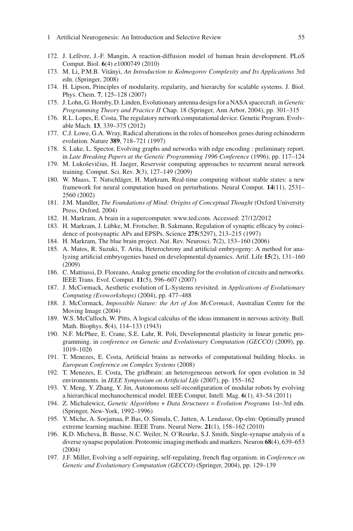- 1 Artificial Neurogenesis: An Introduction and Selective Review 55
- 172. J. Lefèvre, J.-F. Mangin, A reaction-diffusion model of human brain development. PLoS Comput. Biol. **6**(4) e1000749 (2010)
- 173. M. Li, P.M.B. Vitányi, *An Introduction to Kolmogorov Complexity and Its Applications* 3rd edn. (Springer, 2008)
- 174. H. Lipson, Principles of modularity, regularity, and hierarchy for scalable systems. J. Biol. Phys. Chem. **7**, 125–128 (2007)
- 175. J. Lohn, G. Hornby, D. Linden, Evolutionary antenna design for a NASA spacecraft. in *Genetic Programming Theory and Practice II* Chap. 18 (Springer, Ann Arbor, 2004), pp. 301–315
- 176. R.L. Lopes, E. Costa, The regulatory network computational device. Genetic Program. Evolvable Mach. **13**, 339–375 (2012)
- 177. C.J. Lowe, G.A. Wray, Radical alterations in the roles of homeobox genes during echinoderm evolution. Nature **389**, 718–721 (1997)
- 178. S. Luke, L. Spector, Evolving graphs and networks with edge encoding : preliminary report. in *Late Breaking Papers at the Genetic Programming 1996 Conference* (1996), pp. 117–124
- 179. M. Lukoševičius, H. Jaeger, Reservoir computing approaches to recurrent neural network training. Comput. Sci. Rev. **3**(3), 127–149 (2009)
- 180. W. Maass, T. Natschläger, H. Markram, Real-time computing without stable states: a new framework for neural computation based on perturbations. Neural Comput. **14**(11), 2531– 2560 (2002)
- 181. J.M. Mandler, *The Foundations of Mind: Origins of Conceptual Thought* (Oxford University Press, Oxford, 2004)
- 182. H. Markram, A brain in a supercomputer. www.ted.com. Accessed: 27/12/2012
- 183. H. Markram, J. Lübke, M. Frotscher, B. Sakmann, Regulation of synaptic efficacy by coincidence of postsynaptic APs and EPSPs. Science **275**(5297), 213–215 (1997)
- 184. H. Markram, The blue brain project. Nat. Rev. Neurosci. **7**(2), 153–160 (2006)
- 185. A. Matos, R. Suzuki, T. Arita, Heterochrony and artificial embryogeny: A method for analyzing artificial embryogenies based on developmental dynamics. Artif. Life **15**(2), 131–160 (2009)
- 186. C. Mattiussi, D. Floreano, Analog genetic encoding for the evolution of circuits and networks. IEEE Trans. Evol. Comput. **11**(5), 596–607 (2007)
- 187. J. McCormack, Aesthetic evolution of L-Systems revisited. in *Applications of Evolutionary Computing (Evoworkshops)* (2004), pp. 477–488
- 188. J. McCormack, *Impossible Nature: the Art of Jon McCormack*, Australian Centre for the Moving Image (2004)
- 189. W.S. McCulloch, W. Pitts, A logical calculus of the ideas immanent in nervous activity. Bull. Math. Biophys. **5**(4), 114–133 (1943)
- 190. N.F. McPhee, E. Crane, S.E. Lahr, R. Poli, Developmental plasticity in linear genetic programming. in *conference on Genetic and Evolutionary Computation (GECCO)* (2009), pp. 1019–1026
- 191. T. Menezes, E. Costa, Artificial brains as networks of computational building blocks. in *European Conference on Complex Systems* (2008)
- 192. T. Menezes, E. Costa, The gridbrain: an heterogeneous network for open evolution in 3d environments. in *IEEE Symposium on Artificial Life* (2007), pp. 155–162
- 193. Y. Meng, Y. Zhang, Y. Jin, Autonomous self-reconfiguration of modular robots by evolving a hierarchical mechanochemical model. IEEE Comput. Intell. Mag. **6**(1), 43–54 (2011)
- 194. Z. Michalewicz, *Genetic Algorithms* + *Data Structures* = *Evolution Programs* 1st–3rd edn. (Springer, New-York, 1992–1996)
- 195. Y. Miche, A. Sorjamaa, P. Bas, O. Simula, C. Jutten, A. Lendasse, Op-elm: Optimally pruned extreme learning machine. IEEE Trans. Neural Netw. **21**(1), 158–162 (2010)
- 196. K.D. Micheva, B. Busse, N.C. Weiler, N. O'Rourke, S.J. Smith, Single-synapse analysis of a diverse synapse population: Proteomic imaging methods and markers. Neuron **68**(4), 639–653 (2004)
- 197. J.F. Miller, Evolving a self-repairing, self-regulating, french flag organism. in *Conference on Genetic and Evolutionary Computation (GECCO)* (Springer, 2004), pp. 129–139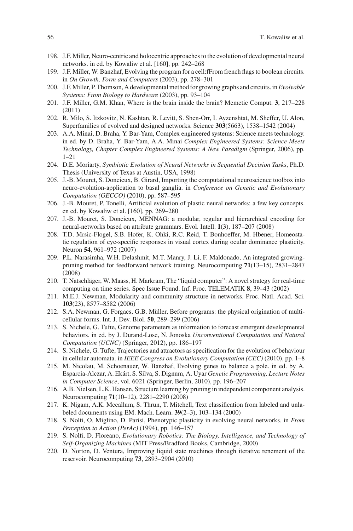- 198. J.F. Miller, Neuro-centric and holocentric approaches to the evolution of developmental neural networks. in ed. by Kowaliw et al. [160], pp. 242–268
- 199. J.F. Miller, W. Banzhaf, Evolving the program for a cell:fFrom french flags to boolean circuits. in *On Growth, Form and Computers* (2003), pp. 278–301
- 200. J.F. Miller, P. Thomson, A developmental method for growing graphs and circuits. in*Evolvable Systems: From Biology to Hardware* (2003), pp. 93–104
- 201. J.F. Miller, G.M. Khan, Where is the brain inside the brain? Memetic Comput. **3**, 217–228 (2011)
- 202. R. Milo, S. Itzkovitz, N. Kashtan, R. Levitt, S. Shen-Orr, I. Ayzenshtat, M. Sheffer, U. Alon, Superfamilies of evolved and designed networks. Science **303**(5663), 1538–1542 (2004)
- 203. A.A. Minai, D. Braha, Y. Bar-Yam, Complex engineered systems: Science meets technology. in ed. by D. Braha, Y. Bar-Yam, A.A. Minai *Complex Engineered Systems: Science Meets Technology, Chapter Complex Engineered Systems: A New Paradigm* (Springer, 2006), pp. 1–21
- 204. D.E. Moriarty, *Symbiotic Evolution of Neural Networks in Sequential Decision Tasks*, Ph.D. Thesis (University of Texas at Austin, USA, 1998)
- 205. J.-B. Mouret, S. Doncieux, B. Girard, Importing the computational neuroscience toolbox into neuro-evolution-application to basal ganglia. in *Conference on Genetic and Evolutionary Computation (GECCO)* (2010), pp. 587–595
- 206. J.-B. Mouret, P. Tonelli, Artificial evolution of plastic neural networks: a few key concepts. en ed. by Kowaliw et al. [160], pp. 269–280
- 207. J.-B. Mouret, S. Doncieux, MENNAG: a modular, regular and hierarchical encoding for neural-networks based on attribute grammars. Evol. Intell. **1**(3), 187–207 (2008)
- 208. T.D. Mrsic-Flogel, S.B. Hofer, K. Ohki, R.C. Reid, T. Bonhoeffer, M. Hbener, Homeostatic regulation of eye-specific responses in visual cortex during ocular dominance plasticity. Neuron **54**, 961–972 (2007)
- 209. P.L. Narasimha, W.H. Delashmit, M.T. Manry, J. Li, F. Maldonado, An integrated growingpruning method for feedforward network training. Neurocomputing **71**(13–15), 2831–2847 (2008)
- 210. T. Natschläger, W. Maass, H. Markram, The "liquid computer": A novel strategy for real-time computing on time series. Spec Issue Found. Inf. Proc. TELEMATIK **8**, 39–43 (2002)
- 211. M.E.J. Newman, Modularity and community structure in networks. Proc. Natl. Acad. Sci. **103**(23), 8577–8582 (2006)
- 212. S.A. Newman, G. Forgacs, G.B. Müller, Before programs: the physical origination of multicellular forms. Int. J. Dev. Biol. **50**, 289–299 (2006)
- 213. S. Nichele, G. Tufte, Genome parameters as information to forecast emergent developmental behaviors. in ed. by J. Durand-Lose, N. Jonoska *Unconventional Computation and Natural Computation (UCNC)* (Springer, 2012), pp. 186–197
- 214. S. Nichele, G. Tufte, Trajectories and attractors as specification for the evolution of behaviour in cellular automata. in *IEEE Congress on Evolutionary Computation (CEC)* (2010), pp. 1–8
- 215. M. Nicolau, M. Schoenauer, W. Banzhaf, Evolving genes to balance a pole. in ed. by A. Esparcia-Alczar, A. Ekárt, S. Silva, S. Dignum, A. Uyar *Genetic Programming, Lecture Notes in Computer Science*, vol. 6021 (Springer, Berlin, 2010), pp. 196–207
- 216. A.B. Nielsen, L.K. Hansen, Structure learning by pruning in independent component analysis. Neurocomputing **71**(10–12), 2281–2290 (2008)
- 217. K. Nigam, A.K. Mccallum, S. Thrun, T. Mitchell, Text classification from labeled and unlabeled documents using EM. Mach. Learn. **39**(2–3), 103–134 (2000)
- 218. S. Nolfi, O. Miglino, D. Parisi, Phenotypic plasticity in evolving neural networks. in *From Perception to Action (PerAc)* (1994), pp. 146–157
- 219. S. Nolfi, D. Floreano, *Evolutionary Robotics: The Biology, Intelligence, and Technology of Self-Organizing Machines* (MIT Press/Bradford Books, Cambridge, 2000)
- 220. D. Norton, D. Ventura, Improving liquid state machines through iterative renement of the reservoir. Neurocomputing **73**, 2893–2904 (2010)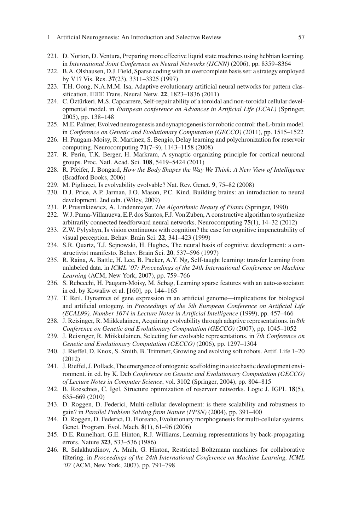- 1 Artificial Neurogenesis: An Introduction and Selective Review 57
- 221. D. Norton, D. Ventura, Preparing more effective liquid state machines using hebbian learning. in *International Joint Conference on Neural Networks (IJCNN)* (2006), pp. 8359–8364
- 222. B.A. Olshausen, D.J. Field, Sparse coding with an overcomplete basis set: a strategy employed by V1? Vis. Res. **37**(23), 3311–3325 (1997)
- 223. T.H. Oong, N.A.M.M. Isa, Adaptive evolutionary artificial neural networks for pattern classification. IEEE Trans. Neural Netw. **22**, 1823–1836 (2011)
- 224. C. Öztürkeri, M.S. Capcarrere, Self-repair ability of a toroidal and non-toroidal cellular developmental model. in *European conference on Advances in Artificial Life (ECAL)* (Springer, 2005), pp. 138–148
- 225. M.E. Palmer, Evolved neurogenesis and synaptogenesisfor robotic control: the L-brain model. in *Conference on Genetic and Evolutionary Computation (GECCO)* (2011), pp. 1515–1522
- 226. H. Paugam-Moisy, R. Martinez, S. Bengio, Delay learning and polychronization for reservoir computing. Neurocomputing **71**(7–9), 1143–1158 (2008)
- 227. R. Perin, T.K. Berger, H. Markram, A synaptic organizing principle for cortical neuronal groups. Proc. Natl. Acad. Sci. **108**, 5419–5424 (2011)
- 228. R. Pfeifer, J. Bongard, *How the Body Shapes the Way We Think: A New View of Intelligence* (Bradford Books, 2006)
- 229. M. Pigliucci, Is evolvability evolvable? Nat. Rev. Genet. **9**, 75–82 (2008)
- 230. D.J. Price, A.P. Jarman, J.O. Mason, P.C. Kind, Building brains: an introduction to neural development. 2nd edn. (Wiley, 2009)
- 231. P. Prusinkiewicz, A. Lindenmayer, *The Algorithmic Beauty of Plants* (Springer, 1990)
- 232. W.J. Puma-Villanueva, E.P. dos Santos, F.J. Von Zuben, A constructive algorithm to synthesize arbitrarily connected feedforward neural networks. Neurocomputing **75**(1), 14–32 (2012)
- 233. Z.W. Pylyshyn, Is vision continuous with cognition? the case for cognitive impenetrability of visual perception. Behav. Brain Sci. **22**, 341–423 (1999)
- 234. S.R. Quartz, T.J. Sejnowski, H. Hughes, The neural basis of cognitive development: a constructivist manifesto. Behav. Brain Sci. **20**, 537–596 (1997)
- 235. R. Raina, A. Battle, H. Lee, B. Packer, A.Y. Ng, Self-taught learning: transfer learning from unlabeled data. in *ICML '07: Proceedings of the 24th International Conference on Machine Learning* (ACM, New York, 2007), pp. 759–766
- 236. S. Rebecchi, H. Paugam-Moisy, M. Sebag, Learning sparse features with an auto-associator. in ed. by Kowaliw et al. [160], pp. 144–165
- 237. T. Reil, Dynamics of gene expression in an artificial genome—implications for biological and artificial ontogeny. in *Proceedings of the 5th European Conference on Artificial Life (ECAL99), Number 1674 in Lecture Notes in Artificial Intelligence* (1999), pp. 457–466
- 238. J. Reisinger, R. Miikkulainen, Acquiring evolvability through adaptive representations. in *8th Conference on Genetic and Evolutionary Computation (GECCO)* (2007), pp. 1045–1052
- 239. J. Reisinger, R. Miikkulainen, Selecting for evolvable representations. in *7th Conference on Genetic and Evolutionary Computation (GECCO)* (2006), pp. 1297–1304
- 240. J. Rieffel, D. Knox, S. Smith, B. Trimmer, Growing and evolving soft robots. Artif. Life 1–20 (2012)
- 241. J. Rieffel, J. Pollack, The emergence of ontogenic scaffolding in a stochastic development environment. in ed. by K. Deb *Conference on Genetic and Evolutionary Computation (GECCO) of Lecture Notes in Computer Science*, vol. 3102 (Springer, 2004), pp. 804–815
- 242. B. Roeschies, C. Igel, Structure optimization of reservoir networks. Logic J. IGPL **18**(5), 635–669 (2010)
- 243. D. Roggen, D. Federici, Multi-cellular development: is there scalability and robustness to gain? in *Parallel Problem Solving from Nature (PPSN)* (2004), pp. 391–400
- 244. D. Roggen, D. Federici, D. Floreano, Evolutionary morphogenesis for multi-cellular systems. Genet. Program. Evol. Mach. **8**(1), 61–96 (2006)
- 245. D.E. Rumelhart, G.E. Hinton, R.J. Williams, Learning representations by back-propagating errors. Nature **323**, 533–536 (1986)
- 246. R. Salakhutdinov, A. Mnih, G. Hinton, Restricted Boltzmann machines for collaborative filtering. in *Proceedings of the 24th International Conference on Machine Learning, ICML '07* (ACM, New York, 2007), pp. 791–798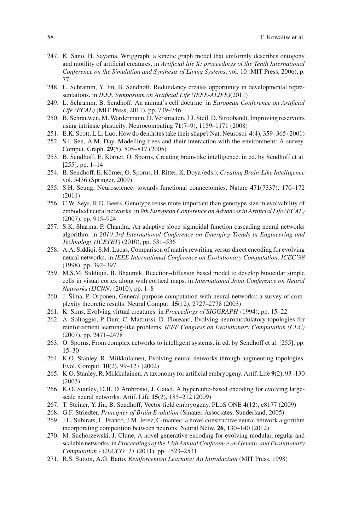- 247. K. Sano, H. Sayama, Wriggraph: a kinetic graph model that uniformly describes ontogeny and motility of artificial creatures. in *Artificial life X: proceedings of the Tenth International Conference on the Simulation and Synthesis of Living Systems*, vol. 10 (MIT Press, 2006), p. 77
- 248. L. Schramm, Y. Jin, B. Sendhoff, Redundancy creates opportunity in developmental representations. in *IEEE Symposium on Artificial Life (IEEE-ALIFE)*(2011)
- 249. L. Schramm, B. Sendhoff, An animat's cell doctrine. in *European Conference on Artificial Life (ECAL)* (MIT Press, 2011), pp. 739–746
- 250. B. Schrauwen, M. Wardermann, D. Verstraeten, J.J. Steil, D. Stroobandt, Improving reservoirs using intrinsic plasticity. Neurocomputing **71**(7–9), 1159–1171 (2008)
- 251. E.K. Scott, L.L. Luo, How do dendrites take their shape? Nat. Neurosci. **4**(4), 359–365 (2001)
- 252. S.I. Sen, A.M. Day, Modelling trees and their interaction with the environment: A survey. Comput. Graph. **29**(5), 805–817 (2005)
- 253. B. Sendhoff, E. Körner, O. Sporns, Creating brain-like intelligence. in ed. by Sendhoff et al. [255], pp. 1–14
- 254. B. Sendhoff, E. Körner, O. Sporns, H. Ritter, K. Doya (eds.), *Creating Brain-Like Intelligence* vol. 5436 (Springer, 2009)
- 255. S.H. Seung, Neuroscience: towards functional connectomics. Nature **471**(7337), 170–172 (2011)
- 256. C.W. Seys, R.D. Beers, Genotype reuse more important than genotype size in evolvability of embodied neural networks. in *9th European Conference on Advances in Artificial Life (ECAL)* (2007), pp. 915–924
- 257. S.K. Sharma, P. Chandra, An adaptive slope sigmoidal function cascading neural networks algorithm. in *2010 3rd International Conference on Emerging Trends in Engineering and Technology (ICETET)* (2010), pp. 531–536
- 258. A.A. Siddiqi, S.M. Lucas, Comparison of matrix rewriting versus direct encoding for evolving neural networks. in *IEEE International Conference on Evolutionary Computation, ICEC'98* (1998), pp. 392–397
- 259. M.S.M. Siddiqui, B. Bhaumik, Reaction-diffusion based model to develop binocular simple cells in visual cortex along with cortical maps. in *International Joint Conference on Neural Networks (IJCNN)* (2010), pp. 1–8
- 260. J. Šíma, P. Orponen, General-purpose computation with neural networks: a survey of complexity theoretic results. Neural Comput. **15**(12), 2727–2778 (2003)
- 261. K. Sims, Evolving virtual creatures. in *Proceedings of SIGGRAPH* (1994), pp. 15–22
- 262. A. Soltoggio, P. Durr, C. Mattiussi, D. Floreano, Evolving neuromodulatory topologies for reinforcement learning-like problems. *IEEE Congress on Evolutionary Computation (CEC)* (2007), pp. 2471–2478
- 263. O. Sporns, From complex networks to intelligent systems. in ed. by Sendhoff et al. [255], pp. 15–30
- 264. K.O. Stanley, R. Miikkulainen, Evolving neural networks through augmenting topologies. Evol. Comput. **10**(2), 99–127 (2002)
- 265. K.O. Stanley, R. Miikkulainen, A taxonomy for artificial embryogeny. Artif. Life **9**(2), 93–130 (2003)
- 266. K.O. Stanley, D.B. D'Ambrosio, J. Gauci, A hypercube-based encoding for evolving largescale neural networks. Artif. Life **15**(2), 185–212 (2009)
- 267. T. Steiner, Y. Jin, B. Sendhoff, Vector field embryogeny. PLoS ONE **4**(12), e8177 (2009)
- 268. G.F. Striedter, *Principles of Brain Evolution* (Sinauer Associates, Sunderland, 2005)
- 269. J.L. Subirats, L. Franco, J.M. Jerez, C-mantec: a novel constructive neural network algorithm incorporating competition between neurons. Neural Netw. **26**, 130–140 (2012)
- 270. M. Suchorzewski, J. Clune, A novel generative encoding for evolving modular, regular and scalable networks. in *Proceedings of the 13th Annual Conference on Genetic and Evolutionary Computation - GECCO '11* (2011), pp. 1523–2531
- 271. R.S. Sutton, A.G. Barto, *Reinforcement Learning: An Introduction* (MIT Press, 1998)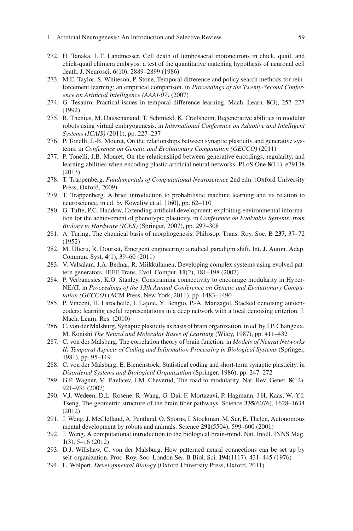- 1 Artificial Neurogenesis: An Introduction and Selective Review 59
- 272. H. Tanaka, L.T. Landmesser, Cell death of lumbosacral motoneurons in chick, quail, and chick-quail chimera embryos: a test of the quantitative matching hypothesis of neuronal cell death. J. Neurosci. **6**(10), 2889–2899 (1986)
- 273. M.E. Taylor, S. Whiteson, P. Stone, Temporal difference and policy search methods for reinforcement learning: an empirical comparison. in *Proceedings of the Twenty-Second Conference on Artificial Intelligence (AAAI-07)* (2007)
- 274. G. Tesauro, Practical issues in temporal difference learning. Mach. Learn. **8**(3), 257–277 (1992)
- 275. R. Thenius, M. Dauschanand, T. Schmickl, K. Crailsheim, Regenerative abilities in modular robots using virtual embryogenesis. in *International Conference on Adaptive and Intelligent Systems (ICAIS)* (2011), pp. 227–237
- 276. P. Tonelli, J.-B. Mouret, On the relationships between synaptic plasticity and generative systems. in *Conference on Genetic and Evolutionary Computation (GECCO)* (2011)
- 277. P. Tonelli, J.B. Mouret, On the relationshipd between generative encodings, regularity, and learning abilities when encoding plastic artificial neural networks. PLoS One **8**(11), e79138 (2013)
- 278. T. Trappenberg, *Fundamentals of Computational Neuroscience* 2nd edn. (Oxford University Press, Oxford, 2009)
- 279. T. Trappenberg. A brief introduction to probabilistic machine learning and its relation to neuroscience. in ed. by Kowaliw et al. [160], pp. 62–110
- 280. G. Tufte, P.C. Haddow, Extending artificial development: exploiting environmental information for the achievement of phenotypic plasticity. in *Conference on Evolvable Systems: from Biology to Hardware (ICES)* (Springer, 2007), pp. 297–308
- 281. A. Turing, The chemical basis of morphogenesis. Philosop. Trans. Roy. Soc. B **237**, 37–72 (1952)
- 282. M. Ulieru, R. Doursat, Emergent engineering: a radical paradigm shift. Int. J. Auton. Adap. Commun. Syst. **4**(1), 39–60 (2011)
- 283. V. Valsalam, J.A. Bednar, R. Miikkulainen, Developing complex systems using evolved pattern generators. IEEE Trans. Evol. Comput. **11**(2), 181–198 (2007)
- 284. P. Verbancsics, K.O. Stanley, Constraining connectivity to encourage modularity in Hyper-NEAT. in *Proceedings of the 13th Annual Conference on Genetic and Evolutionary Computation (GECCO)* (ACM Press, New York, 2011), pp. 1483–1490
- 285. P. Vincent, H. Larochelle, I. Lajoie, Y. Bengio, P.-A. Manzagol, Stacked denoising autoencoders: learning useful representations in a deep network with a local denoising criterion. J. Mach. Learn. Res. (2010)
- 286. C. von der Malsburg, Synaptic plasticity as basis of brain organization. in ed. by J.P. Changeux, M. Konishi *The Neural and Molecular Bases of Learning* (Wiley, 1987), pp. 411–432
- 287. C. von der Malsburg, The correlation theory of brain function. in *Models of Neural Networks II: Temporal Aspects of Coding and Information Processing in Biological Systems* (Springer, 1981), pp. 95–119
- 288. C. von der Malsburg, E. Bienenstock, Statistical coding and short-term synaptic plasticity. in *Disordered Systems and Biological Organization* (Springer, 1986), pp. 247–272
- 289. G.P. Wagner, M. Pavlicev, J.M. Cheverud, The road to modularity. Nat. Rev. Genet. **8**(12), 921–931 (2007)
- 290. V.J. Wedeen, D.L. Rosene, R. Wang, G. Dai, F. Mortazavi, P. Hagmann, J.H. Kaas, W.-Y.I. Tseng, The geometric structure of the brain fiber pathways. Science **335**(6076), 1628–1634 (2012)
- 291. J. Weng, J. McClelland, A. Pentland, O. Sporns, I. Stockman, M. Sur, E. Thelen, Autonomous mental development by robots and animals. Science **291**(5504), 599–600 (2001)
- 292. J. Weng, A computational introduction to the biological brain-mind. Nat. Intell. INNS Mag. **1**(3), 5–16 (2012)
- 293. D.J. Willshaw, C. von der Malsburg, How patterned neural connections can be set up by self-organization. Proc. Roy. Soc. London Ser. B Biol. Sci. **194**(1117), 431–445 (1976)
- 294. L. Wolpert, *Developmental Biology* (Oxford University Press, Oxford, 2011)